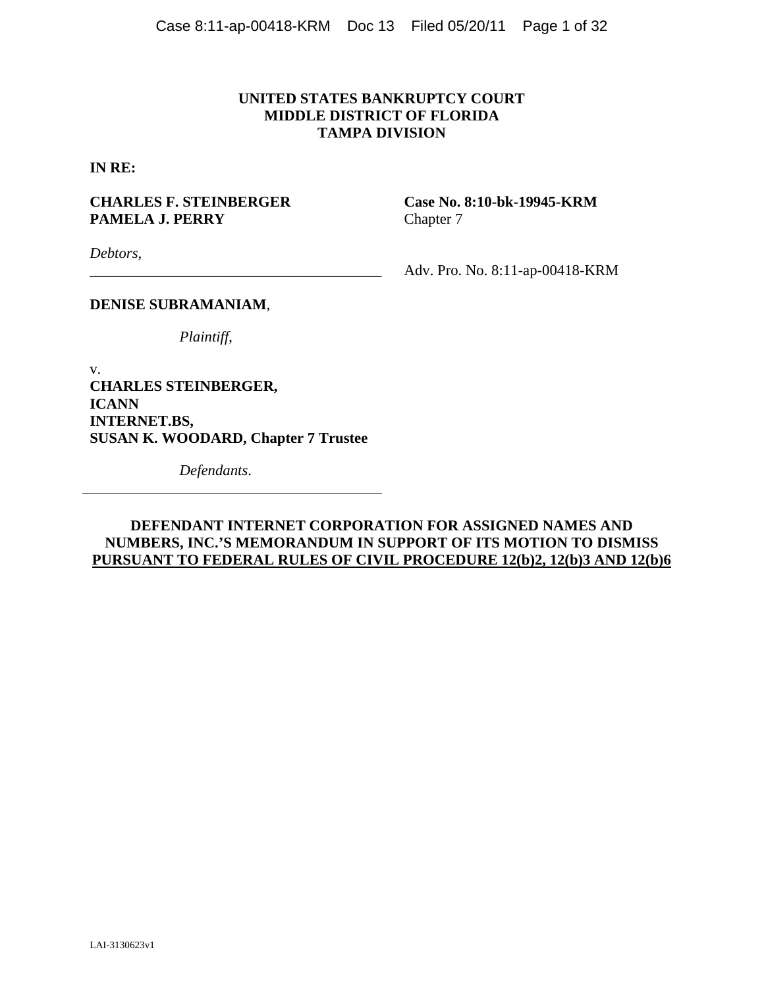# **UNITED STATES BANKRUPTCY COURT MIDDLE DISTRICT OF FLORIDA TAMPA DIVISION**

**IN RE:** 

# **CHARLES F. STEINBERGER Case No. 8:10-bk-19945-KRM PAMELA J. PERRY** Chapter 7

*Debtors*,

\_\_\_\_\_\_\_\_\_\_\_\_\_\_\_\_\_\_\_\_\_\_\_\_\_\_\_\_\_\_\_\_\_\_\_\_\_\_\_ Adv. Pro. No. 8:11-ap-00418-KRM

### **DENISE SUBRAMANIAM**,

*Plaintiff*,

v. **CHARLES STEINBERGER, ICANN INTERNET.BS, SUSAN K. WOODARD, Chapter 7 Trustee** 

*Defendants*.

# **DEFENDANT INTERNET CORPORATION FOR ASSIGNED NAMES AND NUMBERS, INC.'S MEMORANDUM IN SUPPORT OF ITS MOTION TO DISMISS PURSUANT TO FEDERAL RULES OF CIVIL PROCEDURE 12(b)2, 12(b)3 AND 12(b)6**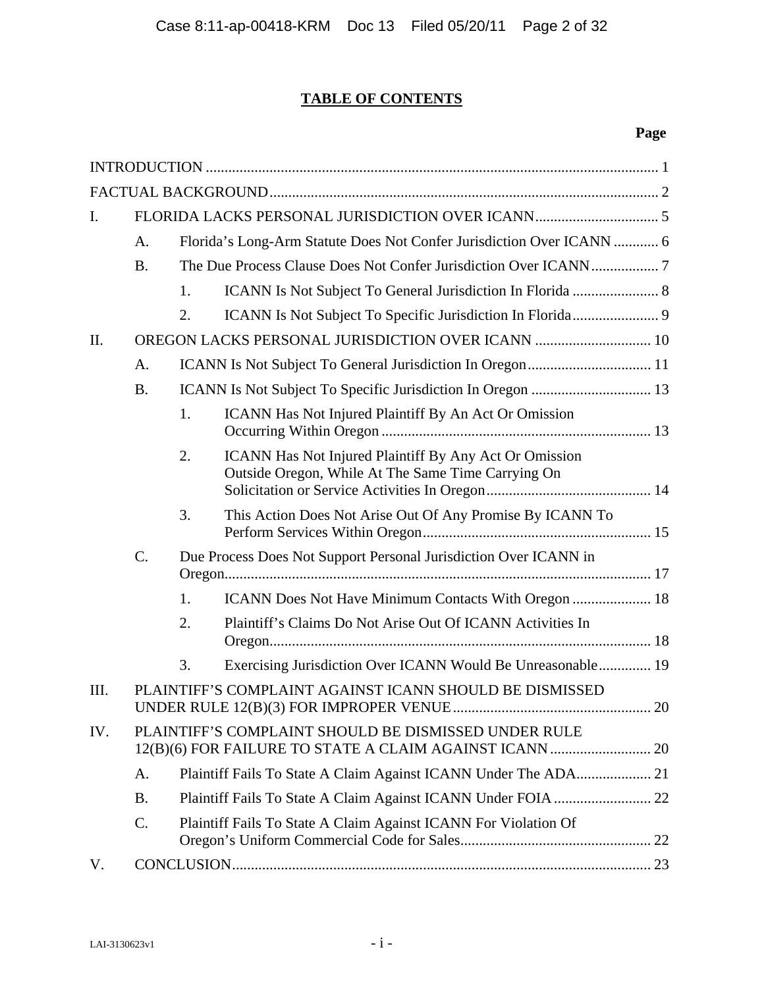# **TABLE OF CONTENTS**

# **Page**

| Ι.   |           |                                                                       |                                                                                                              |  |  |  |
|------|-----------|-----------------------------------------------------------------------|--------------------------------------------------------------------------------------------------------------|--|--|--|
|      | A.        | Florida's Long-Arm Statute Does Not Confer Jurisdiction Over ICANN  6 |                                                                                                              |  |  |  |
|      | <b>B.</b> |                                                                       |                                                                                                              |  |  |  |
|      |           | 1.                                                                    |                                                                                                              |  |  |  |
|      |           | 2.                                                                    |                                                                                                              |  |  |  |
| Π.   |           |                                                                       | OREGON LACKS PERSONAL JURISDICTION OVER ICANN  10                                                            |  |  |  |
|      | A.        |                                                                       |                                                                                                              |  |  |  |
|      | <b>B.</b> |                                                                       |                                                                                                              |  |  |  |
|      |           | 1.                                                                    | ICANN Has Not Injured Plaintiff By An Act Or Omission                                                        |  |  |  |
|      |           | 2.                                                                    | ICANN Has Not Injured Plaintiff By Any Act Or Omission<br>Outside Oregon, While At The Same Time Carrying On |  |  |  |
|      |           | 3.                                                                    | This Action Does Not Arise Out Of Any Promise By ICANN To                                                    |  |  |  |
|      | $C$ .     | Due Process Does Not Support Personal Jurisdiction Over ICANN in      |                                                                                                              |  |  |  |
|      |           | 1.                                                                    | ICANN Does Not Have Minimum Contacts With Oregon  18                                                         |  |  |  |
|      |           | 2.                                                                    | Plaintiff's Claims Do Not Arise Out Of ICANN Activities In                                                   |  |  |  |
|      |           | 3.                                                                    | Exercising Jurisdiction Over ICANN Would Be Unreasonable 19                                                  |  |  |  |
| III. |           |                                                                       | PLAINTIFF'S COMPLAINT AGAINST ICANN SHOULD BE DISMISSED                                                      |  |  |  |
| IV.  |           |                                                                       | PLAINTIFF'S COMPLAINT SHOULD BE DISMISSED UNDER RULE                                                         |  |  |  |
|      | A.        |                                                                       |                                                                                                              |  |  |  |
|      | <b>B.</b> |                                                                       |                                                                                                              |  |  |  |
|      | C.        |                                                                       | Plaintiff Fails To State A Claim Against ICANN For Violation Of                                              |  |  |  |
| V.   |           |                                                                       |                                                                                                              |  |  |  |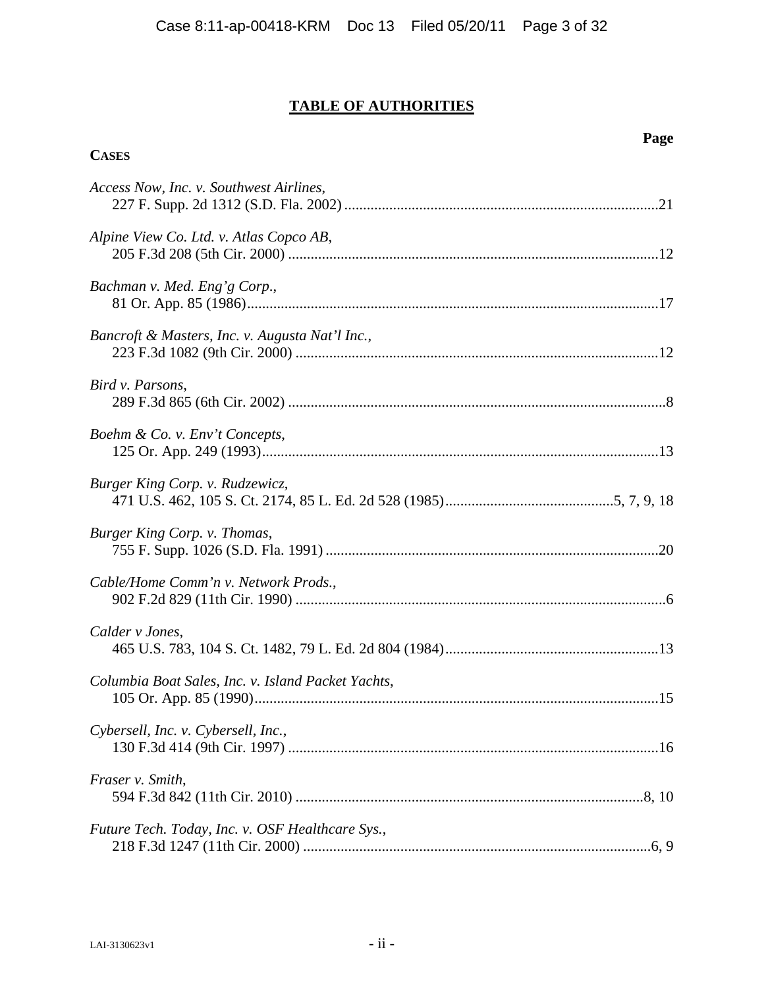# **TABLE OF AUTHORITIES**

| LAI-3130623v1 | . .<br>$-11 -$ |
|---------------|----------------|

**CASES**

# *Access Now, Inc. v. Southwest Airlines*, 227 F. Supp. 2d 1312 (S.D. Fla. 2002) ....................................................................................[21](#page-27-0)  *Alpine View Co. Ltd. v. Atlas Copco AB*, 205 F.3d 208 (5th Cir. 2000) ...................................................................................................[12](#page-18-0)  *Bachman v. Med. Eng'g Corp*., 81 Or. App. 85 (1986) .............................................................................................................[.17](#page-23-0)  *Bancroft & Masters, Inc. v. Augusta Nat'l Inc.*, 223 F.3d 1082 (9th Cir. 2000) .................................................................................................[12](#page-18-0)  *Bird v. Parsons*, 289 F.3d 865 (6th Cir. 2002) .....................................................................................................[8](#page-14-0)  *Boehm & Co. v. Env't Concepts*, 125 Or. App. 249 (1993) .........................................................................................................[.13](#page-19-0)  *Burger King Corp. v. Rudzewicz*, 471 U.S. 462, 105 S. Ct. 2174, 85 L. Ed. 2d 528 (1985) .............................................[5,](#page-11-0) [7,](#page-13-0) [9](#page-15-0), [18](#page-24-0)  *Burger King Corp. v. Thomas*, 755 F. Supp. 1026 (S.D. Fla. 1991) ........................................................................................[.20](#page-26-0)  *Cable/Home Comm'n v. Network Prods.*, 902 F.2d 829 (11th Cir. 1990) ...................................................................................................[6](#page-12-0)  *Calder v Jones*, 465 U.S. 783, 104 S. Ct. 1482, 79 L. Ed. 2d 804 (1984) .........................................................[13](#page-19-0)

# *Columbia Boat Sales, Inc. v. Island Packet Yachts*, 105 Or. App. 85 (1990) ...........................................................................................................[.15](#page-21-0)  *Cybersell, Inc. v. Cybersell, Inc.*, 130 F.3d 414 (9th Cir. 1997) ...................................................................................................[16](#page-22-0)  *Fraser v. Smith*, 594 F.3d 842 (11th Cir. 2010) .............................................................................................[8](#page-14-0), [10](#page-16-0)  *Future Tech. Today, Inc. v. OSF Healthcare Sys.*, 218 F.3d 1247 (11th Cir. 2000) .............................................................................................[6](#page-12-0), [9](#page-15-0)

### **Page**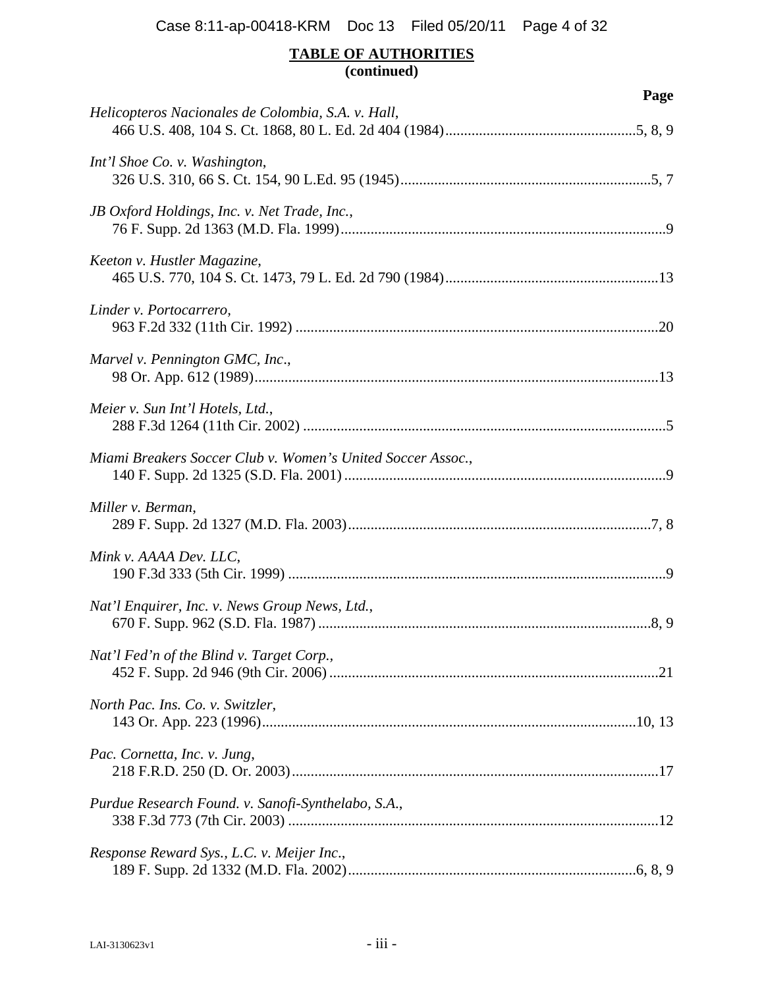# **TABLE OF AUTHORITIES (continued)**

| Page                                                        |
|-------------------------------------------------------------|
| Helicopteros Nacionales de Colombia, S.A. v. Hall,          |
| Int'l Shoe Co. v. Washington,                               |
| JB Oxford Holdings, Inc. v. Net Trade, Inc.,                |
| Keeton v. Hustler Magazine,                                 |
| Linder v. Portocarrero,                                     |
| Marvel v. Pennington GMC, Inc.,                             |
| Meier v. Sun Int'l Hotels, Ltd.,                            |
| Miami Breakers Soccer Club v. Women's United Soccer Assoc., |
| Miller v. Berman,                                           |
| Mink v. AAAA Dev. LLC,                                      |
| Nat'l Enquirer, Inc. v. News Group News, Ltd.,              |
| Nat'l Fed'n of the Blind v. Target Corp.,                   |
| North Pac. Ins. Co. v. Switzler,                            |
| Pac. Cornetta, Inc. v. Jung,                                |
| Purdue Research Found. v. Sanofi-Synthelabo, S.A.,          |
| Response Reward Sys., L.C. v. Meijer Inc.,                  |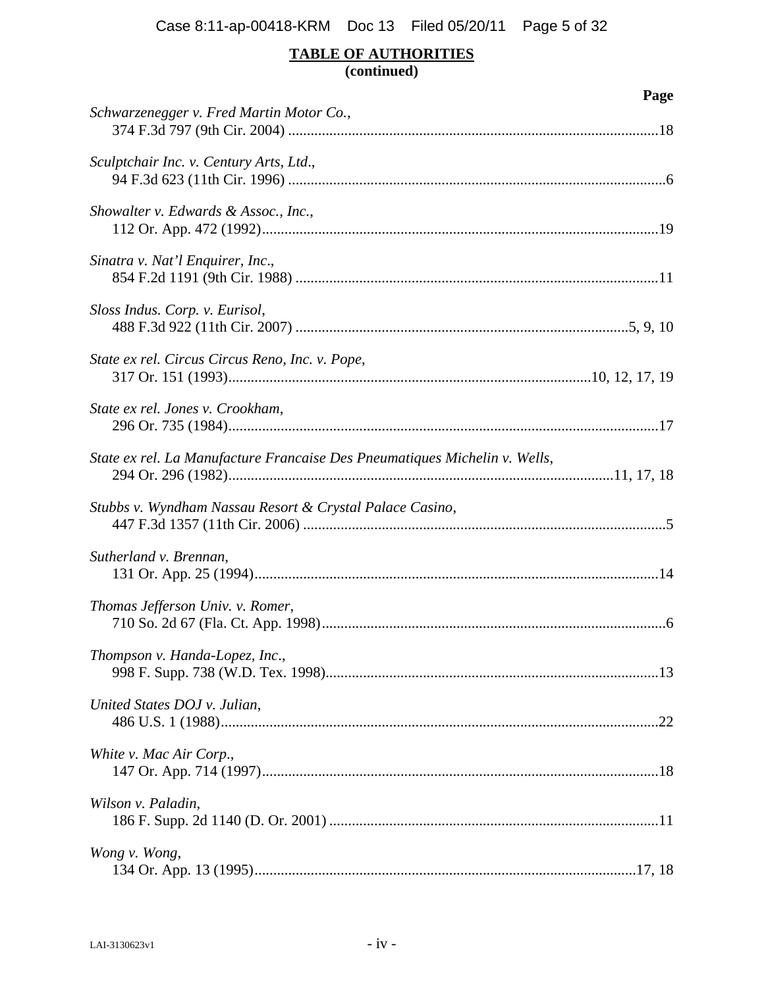# **TABLE OF AUTHORITIES (continued)**

|                                                                            | Page |
|----------------------------------------------------------------------------|------|
| Schwarzenegger v. Fred Martin Motor Co.,                                   |      |
| Sculptchair Inc. v. Century Arts, Ltd.,                                    |      |
| Showalter v. Edwards & Assoc., Inc.,                                       |      |
| Sinatra v. Nat'l Enquirer, Inc.,                                           |      |
| Sloss Indus. Corp. v. Eurisol,                                             |      |
| State ex rel. Circus Circus Reno, Inc. v. Pope,                            |      |
| State ex rel. Jones v. Crookham,                                           |      |
| State ex rel. La Manufacture Francaise Des Pneumatiques Michelin v. Wells, |      |
| Stubbs v. Wyndham Nassau Resort & Crystal Palace Casino,                   |      |
| Sutherland v. Brennan,                                                     |      |
| Thomas Jefferson Univ. v. Romer,                                           |      |
| Thompson v. Handa-Lopez, Inc.,                                             |      |
| United States DOJ v. Julian,                                               |      |
| White v. Mac Air Corp.,                                                    |      |
| Wilson v. Paladin,                                                         |      |
| Wong v. Wong,                                                              |      |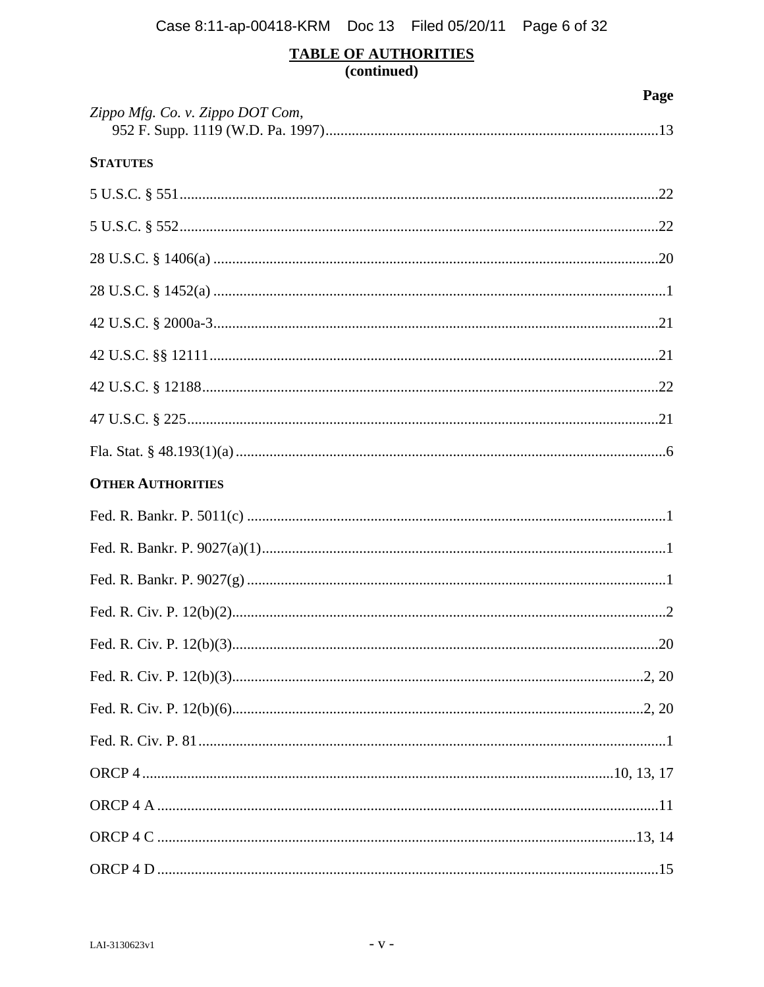# TABLE OF AUTHORITIES<br>(continued)

|                                  | Page |
|----------------------------------|------|
| Zippo Mfg. Co. v. Zippo DOT Com, |      |
| <b>STATUTES</b>                  |      |
|                                  |      |
|                                  |      |
|                                  |      |
|                                  |      |
|                                  |      |
|                                  |      |
|                                  |      |
|                                  |      |
|                                  |      |
| <b>OTHER AUTHORITIES</b>         |      |
|                                  |      |
|                                  |      |
|                                  |      |
|                                  |      |
|                                  |      |
|                                  |      |
|                                  |      |
|                                  |      |
|                                  |      |
|                                  |      |
|                                  |      |
|                                  |      |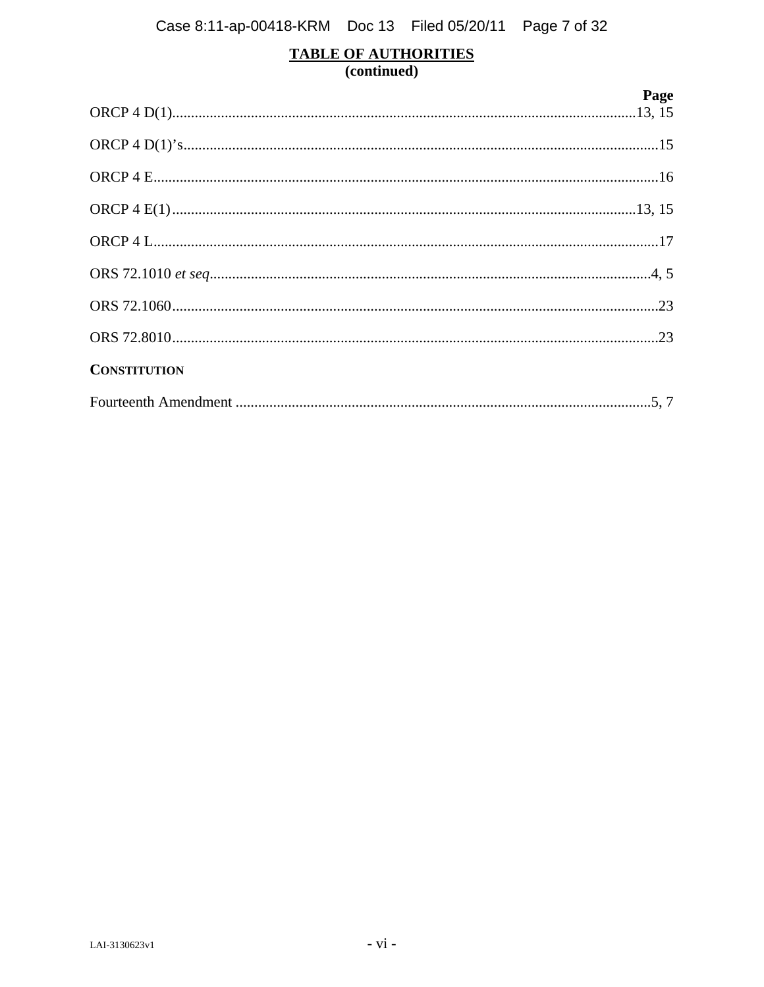# TABLE OF AUTHORITIES<br>(continued)

|                     | Page |
|---------------------|------|
|                     |      |
|                     |      |
|                     |      |
|                     |      |
|                     |      |
|                     |      |
|                     |      |
| <b>CONSTITUTION</b> |      |
|                     |      |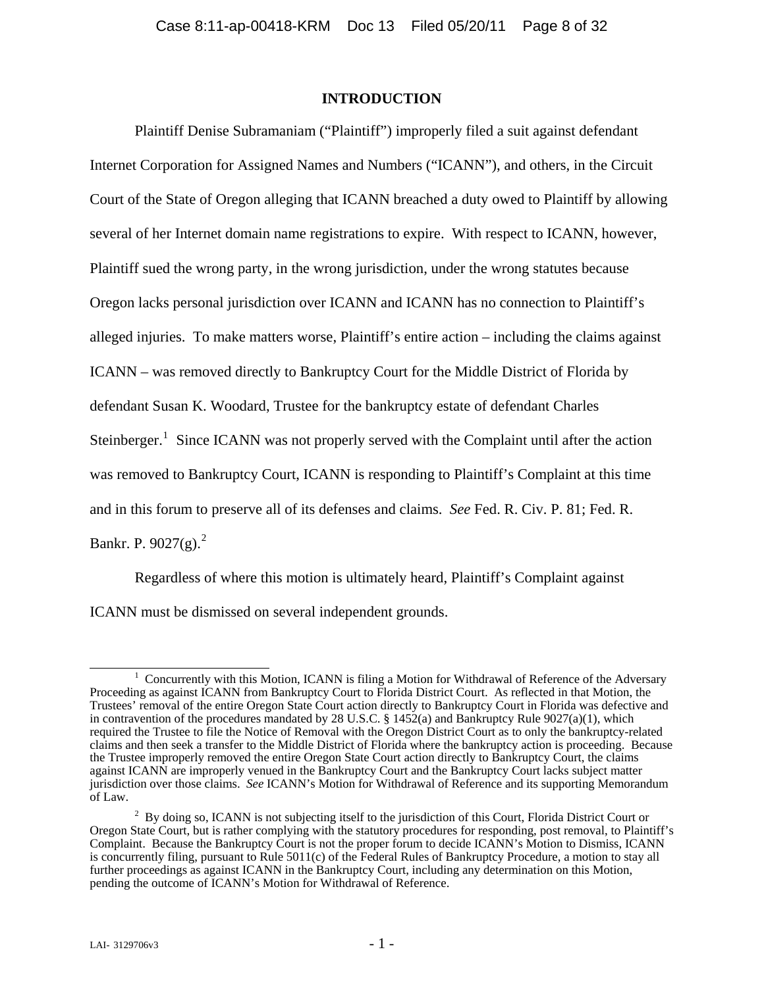#### **INTRODUCTION**

<span id="page-7-0"></span>Plaintiff Denise Subramaniam ("Plaintiff") improperly filed a suit against defendant Internet Corporation for Assigned Names and Numbers ("ICANN"), and others, in the Circuit Court of the State of Oregon alleging that ICANN breached a duty owed to Plaintiff by allowing several of her Internet domain name registrations to expire. With respect to ICANN, however, Plaintiff sued the wrong party, in the wrong jurisdiction, under the wrong statutes because Oregon lacks personal jurisdiction over ICANN and ICANN has no connection to Plaintiff's alleged injuries. To make matters worse, Plaintiff's entire action – including the claims against ICANN – was removed directly to Bankruptcy Court for the Middle District of Florida by defendant Susan K. Woodard, Trustee for the bankruptcy estate of defendant Charles Steinberger.<sup>[1](#page-7-1)</sup> Since ICANN was not properly served with the Complaint until after the action was removed to Bankruptcy Court, ICANN is responding to Plaintiff's Complaint at this time and in this forum to preserve all of its defenses and claims. *See* Fed. R. Civ. P. 81; Fed. R. Bankr. P. 90[2](#page-7-2)7 $(g)$ .<sup>2</sup>

Regardless of where this motion is ultimately heard, Plaintiff's Complaint against ICANN must be dismissed on several independent grounds.

<span id="page-7-1"></span><sup>&</sup>lt;u>1</u> <sup>1</sup> Concurrently with this Motion, ICANN is filing a Motion for Withdrawal of Reference of the Adversary Proceeding as against ICANN from Bankruptcy Court to Florida District Court. As reflected in that Motion, the Trustees' removal of the entire Oregon State Court action directly to Bankruptcy Court in Florida was defective and in contravention of the procedures mandated by 28 U.S.C. § 1452(a) and Bankruptcy Rule 9027(a)(1), which required the Trustee to file the Notice of Removal with the Oregon District Court as to only the bankruptcy-related claims and then seek a transfer to the Middle District of Florida where the bankruptcy action is proceeding. Because the Trustee improperly removed the entire Oregon State Court action directly to Bankruptcy Court, the claims against ICANN are improperly venued in the Bankruptcy Court and the Bankruptcy Court lacks subject matter jurisdiction over those claims. *See* ICANN's Motion for Withdrawal of Reference and its supporting Memorandum of Law.

<span id="page-7-2"></span> $2^2$  By doing so, ICANN is not subjecting itself to the jurisdiction of this Court, Florida District Court or Oregon State Court, but is rather complying with the statutory procedures for responding, post removal, to Plaintiff's Complaint. Because the Bankruptcy Court is not the proper forum to decide ICANN's Motion to Dismiss, ICANN is concurrently filing, pursuant to Rule 5011(c) of the Federal Rules of Bankruptcy Procedure, a motion to stay all further proceedings as against ICANN in the Bankruptcy Court, including any determination on this Motion, pending the outcome of ICANN's Motion for Withdrawal of Reference.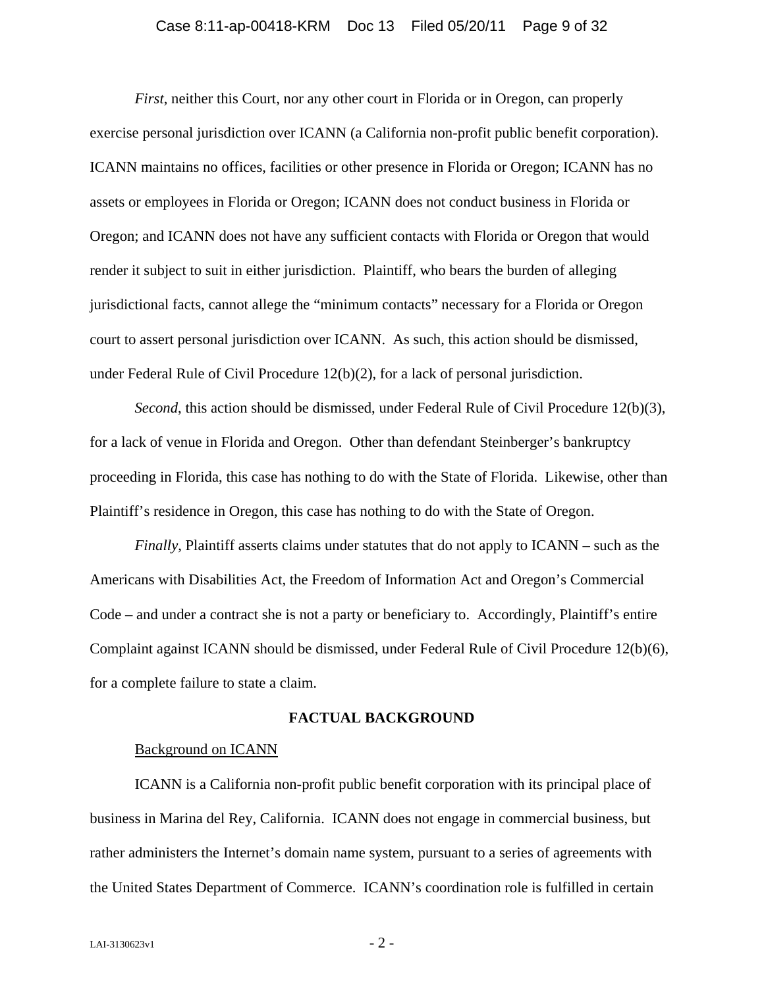#### Case 8:11-ap-00418-KRM Doc 13 Filed 05/20/11 Page 9 of 32

<span id="page-8-0"></span>*First*, neither this Court, nor any other court in Florida or in Oregon, can properly exercise personal jurisdiction over ICANN (a California non-profit public benefit corporation). ICANN maintains no offices, facilities or other presence in Florida or Oregon; ICANN has no assets or employees in Florida or Oregon; ICANN does not conduct business in Florida or Oregon; and ICANN does not have any sufficient contacts with Florida or Oregon that would render it subject to suit in either jurisdiction. Plaintiff, who bears the burden of alleging jurisdictional facts, cannot allege the "minimum contacts" necessary for a Florida or Oregon court to assert personal jurisdiction over ICANN. As such, this action should be dismissed, under Federal Rule of Civil Procedure 12(b)(2), for a lack of personal jurisdiction.

*Second*, this action should be dismissed, under Federal Rule of Civil Procedure 12(b)(3), for a lack of venue in Florida and Oregon. Other than defendant Steinberger's bankruptcy proceeding in Florida, this case has nothing to do with the State of Florida. Likewise, other than Plaintiff's residence in Oregon, this case has nothing to do with the State of Oregon.

*Finally*, Plaintiff asserts claims under statutes that do not apply to ICANN – such as the Americans with Disabilities Act, the Freedom of Information Act and Oregon's Commercial Code – and under a contract she is not a party or beneficiary to. Accordingly, Plaintiff's entire Complaint against ICANN should be dismissed, under Federal Rule of Civil Procedure 12(b)(6), for a complete failure to state a claim.

#### **FACTUAL BACKGROUND**

#### Background on ICANN

ICANN is a California non-profit public benefit corporation with its principal place of business in Marina del Rey, California. ICANN does not engage in commercial business, but rather administers the Internet's domain name system, pursuant to a series of agreements with the United States Department of Commerce. ICANN's coordination role is fulfilled in certain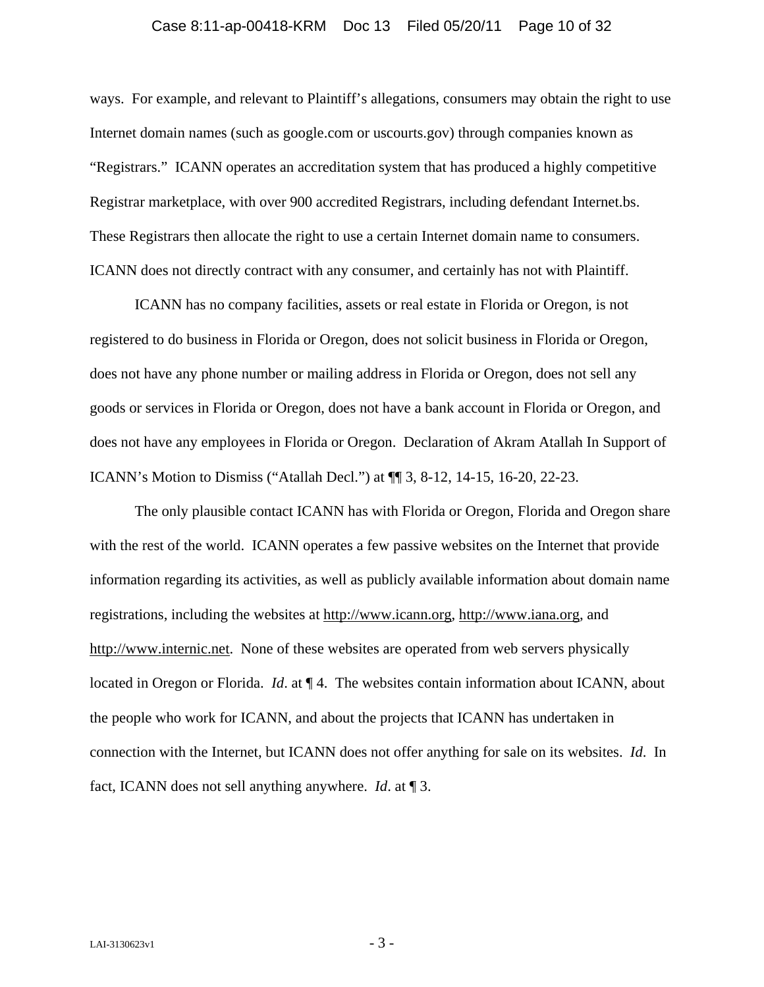#### Case 8:11-ap-00418-KRM Doc 13 Filed 05/20/11 Page 10 of 32

ways. For example, and relevant to Plaintiff's allegations, consumers may obtain the right to use Internet domain names (such as google.com or uscourts.gov) through companies known as "Registrars." ICANN operates an accreditation system that has produced a highly competitive Registrar marketplace, with over 900 accredited Registrars, including defendant Internet.bs. These Registrars then allocate the right to use a certain Internet domain name to consumers. ICANN does not directly contract with any consumer, and certainly has not with Plaintiff.

ICANN has no company facilities, assets or real estate in Florida or Oregon, is not registered to do business in Florida or Oregon, does not solicit business in Florida or Oregon, does not have any phone number or mailing address in Florida or Oregon, does not sell any goods or services in Florida or Oregon, does not have a bank account in Florida or Oregon, and does not have any employees in Florida or Oregon. Declaration of Akram Atallah In Support of ICANN's Motion to Dismiss ("Atallah Decl.") at ¶¶ 3, 8-12, 14-15, 16-20, 22-23.

The only plausible contact ICANN has with Florida or Oregon, Florida and Oregon share with the rest of the world. ICANN operates a few passive websites on the Internet that provide information regarding its activities, as well as publicly available information about domain name registrations, including the websites at http://www.icann.org, http://www.iana.org, and http://www.internic.net. None of these websites are operated from web servers physically located in Oregon or Florida. *Id*. at ¶ 4. The websites contain information about ICANN, about the people who work for ICANN, and about the projects that ICANN has undertaken in connection with the Internet, but ICANN does not offer anything for sale on its websites. *Id*. In fact, ICANN does not sell anything anywhere. *Id*. at ¶ 3.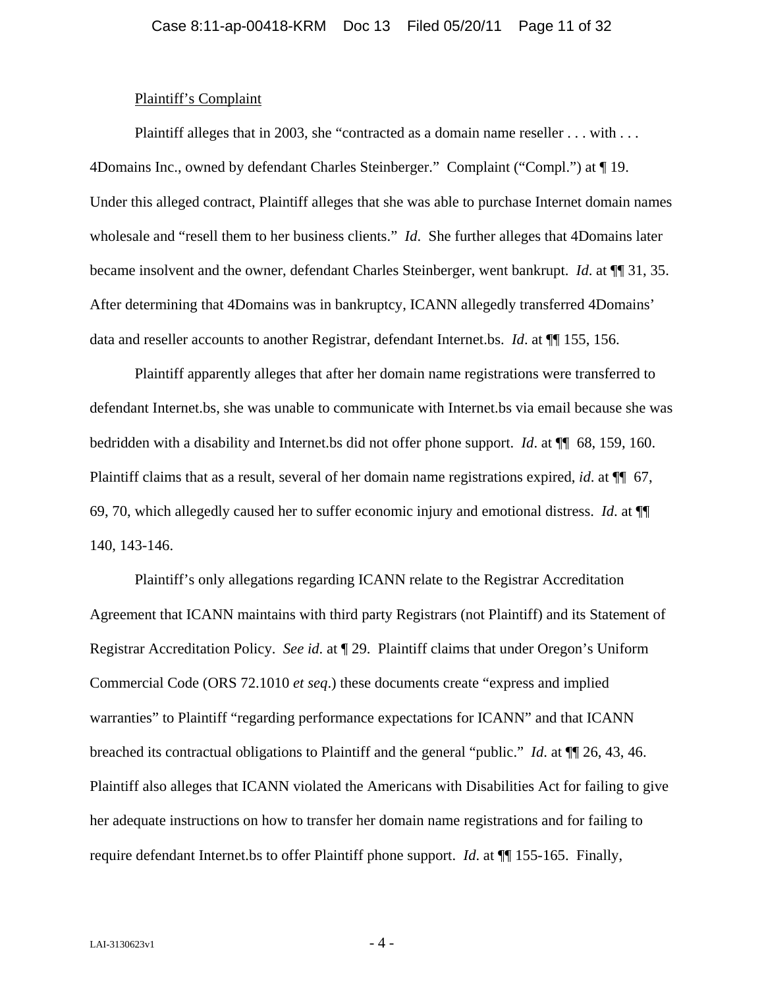#### Plaintiff's Complaint

<span id="page-10-0"></span>Plaintiff alleges that in 2003, she "contracted as a domain name reseller . . . with . . . 4Domains Inc., owned by defendant Charles Steinberger." Complaint ("Compl.") at ¶ 19. Under this alleged contract, Plaintiff alleges that she was able to purchase Internet domain names wholesale and "resell them to her business clients." *Id*. She further alleges that 4Domains later became insolvent and the owner, defendant Charles Steinberger, went bankrupt. *Id*. at ¶¶ 31, 35. After determining that 4Domains was in bankruptcy, ICANN allegedly transferred 4Domains' data and reseller accounts to another Registrar, defendant Internet.bs. *Id*. at ¶¶ 155, 156.

Plaintiff apparently alleges that after her domain name registrations were transferred to defendant Internet.bs, she was unable to communicate with Internet.bs via email because she was bedridden with a disability and Internet.bs did not offer phone support. *Id*. at ¶¶ 68, 159, 160. Plaintiff claims that as a result, several of her domain name registrations expired, *id*. at ¶¶ 67, 69, 70, which allegedly caused her to suffer economic injury and emotional distress. *Id*. at ¶¶ 140, 143-146.

Plaintiff's only allegations regarding ICANN relate to the Registrar Accreditation Agreement that ICANN maintains with third party Registrars (not Plaintiff) and its Statement of Registrar Accreditation Policy. *See id*. at ¶ 29. Plaintiff claims that under Oregon's Uniform Commercial Code (ORS 72.1010 *et seq*.) these documents create "express and implied warranties" to Plaintiff "regarding performance expectations for ICANN" and that ICANN breached its contractual obligations to Plaintiff and the general "public." *Id*. at ¶¶ 26, 43, 46. Plaintiff also alleges that ICANN violated the Americans with Disabilities Act for failing to give her adequate instructions on how to transfer her domain name registrations and for failing to require defendant Internet.bs to offer Plaintiff phone support. *Id*. at ¶¶ 155-165. Finally,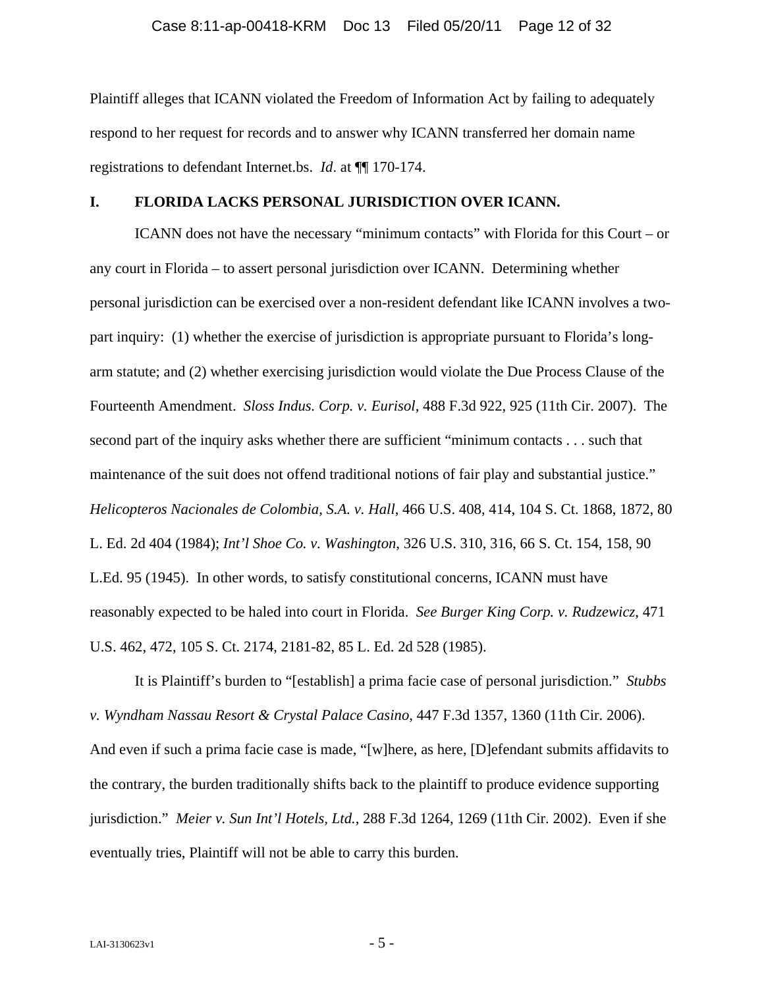<span id="page-11-0"></span>Plaintiff alleges that ICANN violated the Freedom of Information Act by failing to adequately respond to her request for records and to answer why ICANN transferred her domain name registrations to defendant Internet.bs. *Id*. at ¶¶ 170-174.

## **I. FLORIDA LACKS PERSONAL JURISDICTION OVER ICANN.**

ICANN does not have the necessary "minimum contacts" with Florida for this Court – or any court in Florida – to assert personal jurisdiction over ICANN. Determining whether personal jurisdiction can be exercised over a non-resident defendant like ICANN involves a twopart inquiry: (1) whether the exercise of jurisdiction is appropriate pursuant to Florida's longarm statute; and (2) whether exercising jurisdiction would violate the Due Process Clause of the Fourteenth Amendment. *Sloss Indus. Corp. v. Eurisol*, 488 F.3d 922, 925 (11th Cir. 2007). The second part of the inquiry asks whether there are sufficient "minimum contacts . . . such that maintenance of the suit does not offend traditional notions of fair play and substantial justice." *Helicopteros Nacionales de Colombia, S.A. v. Hall*, 466 U.S. 408, 414, 104 S. Ct. 1868, 1872, 80 L. Ed. 2d 404 (1984); *Int'l Shoe Co. v. Washington*, 326 U.S. 310, 316, 66 S. Ct. 154, 158, 90 L.Ed. 95 (1945). In other words, to satisfy constitutional concerns, ICANN must have reasonably expected to be haled into court in Florida. *See Burger King Corp. v. Rudzewicz*, 471 U.S. 462, 472, 105 S. Ct. 2174, 2181-82, 85 L. Ed. 2d 528 (1985).

It is Plaintiff's burden to "[establish] a prima facie case of personal jurisdiction." *Stubbs v. Wyndham Nassau Resort & Crystal Palace Casino*, 447 F.3d 1357, 1360 (11th Cir. 2006). And even if such a prima facie case is made, "[w]here, as here, [D]efendant submits affidavits to the contrary, the burden traditionally shifts back to the plaintiff to produce evidence supporting jurisdiction." *Meier v. Sun Int'l Hotels, Ltd.*, 288 F.3d 1264, 1269 (11th Cir. 2002). Even if she eventually tries, Plaintiff will not be able to carry this burden.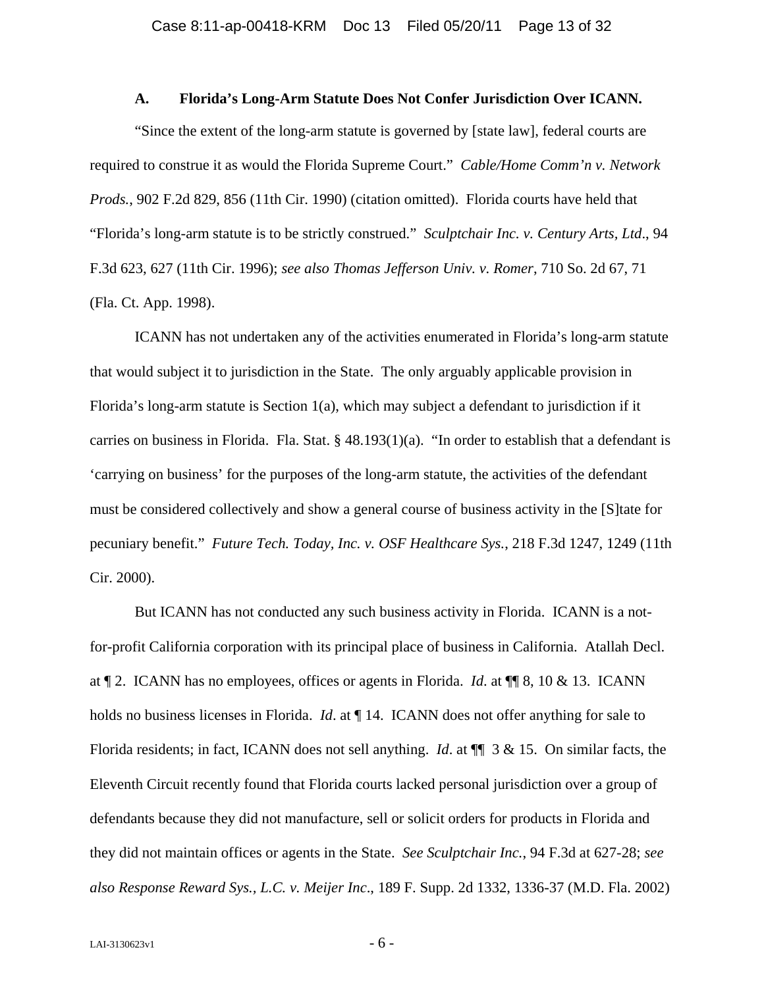#### **A. Florida's Long-Arm Statute Does Not Confer Jurisdiction Over ICANN.**

<span id="page-12-0"></span>"Since the extent of the long-arm statute is governed by [state law], federal courts are required to construe it as would the Florida Supreme Court." *Cable/Home Comm'n v. Network Prods.*, 902 F.2d 829, 856 (11th Cir. 1990) (citation omitted). Florida courts have held that "Florida's long-arm statute is to be strictly construed." *Sculptchair Inc. v. Century Arts, Ltd*., 94 F.3d 623, 627 (11th Cir. 1996); *see also Thomas Jefferson Univ. v. Romer*, 710 So. 2d 67, 71 (Fla. Ct. App. 1998).

ICANN has not undertaken any of the activities enumerated in Florida's long-arm statute that would subject it to jurisdiction in the State. The only arguably applicable provision in Florida's long-arm statute is Section 1(a), which may subject a defendant to jurisdiction if it carries on business in Florida. Fla. Stat. § 48.193(1)(a). "In order to establish that a defendant is 'carrying on business' for the purposes of the long-arm statute, the activities of the defendant must be considered collectively and show a general course of business activity in the [S]tate for pecuniary benefit." *Future Tech. Today, Inc. v. OSF Healthcare Sys.*, 218 F.3d 1247, 1249 (11th Cir. 2000).

But ICANN has not conducted any such business activity in Florida. ICANN is a notfor-profit California corporation with its principal place of business in California. Atallah Decl. at ¶ 2. ICANN has no employees, offices or agents in Florida. *Id*. at ¶¶ 8, 10 & 13. ICANN holds no business licenses in Florida. *Id.* at  $\P$  14. ICANN does not offer anything for sale to Florida residents; in fact, ICANN does not sell anything. *Id*. at ¶¶ 3 & 15. On similar facts, the Eleventh Circuit recently found that Florida courts lacked personal jurisdiction over a group of defendants because they did not manufacture, sell or solicit orders for products in Florida and they did not maintain offices or agents in the State. *See Sculptchair Inc.*, 94 F.3d at 627-28; *see also Response Reward Sys., L.C. v. Meijer Inc*., 189 F. Supp. 2d 1332, 1336-37 (M.D. Fla. 2002)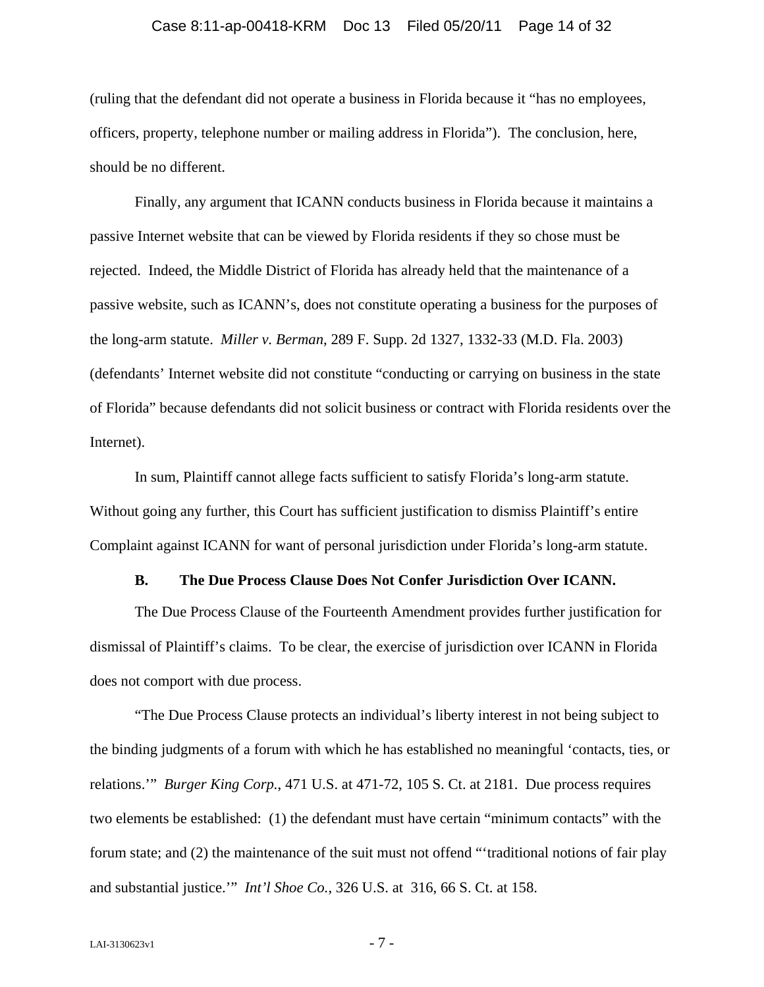#### Case 8:11-ap-00418-KRM Doc 13 Filed 05/20/11 Page 14 of 32

<span id="page-13-0"></span>(ruling that the defendant did not operate a business in Florida because it "has no employees, officers, property, telephone number or mailing address in Florida"). The conclusion, here, should be no different.

Finally, any argument that ICANN conducts business in Florida because it maintains a passive Internet website that can be viewed by Florida residents if they so chose must be rejected. Indeed, the Middle District of Florida has already held that the maintenance of a passive website, such as ICANN's, does not constitute operating a business for the purposes of the long-arm statute. *Miller v. Berman*, 289 F. Supp. 2d 1327, 1332-33 (M.D. Fla. 2003) (defendants' Internet website did not constitute "conducting or carrying on business in the state of Florida" because defendants did not solicit business or contract with Florida residents over the Internet).

In sum, Plaintiff cannot allege facts sufficient to satisfy Florida's long-arm statute. Without going any further, this Court has sufficient justification to dismiss Plaintiff's entire Complaint against ICANN for want of personal jurisdiction under Florida's long-arm statute.

#### **B. The Due Process Clause Does Not Confer Jurisdiction Over ICANN.**

The Due Process Clause of the Fourteenth Amendment provides further justification for dismissal of Plaintiff's claims. To be clear, the exercise of jurisdiction over ICANN in Florida does not comport with due process.

"The Due Process Clause protects an individual's liberty interest in not being subject to the binding judgments of a forum with which he has established no meaningful 'contacts, ties, or relations.'" *Burger King Corp.*, 471 U.S. at 471-72, 105 S. Ct. at 2181. Due process requires two elements be established: (1) the defendant must have certain "minimum contacts" with the forum state; and (2) the maintenance of the suit must not offend "'traditional notions of fair play and substantial justice.'" *Int'l Shoe Co.*, 326 U.S. at 316, 66 S. Ct. at 158.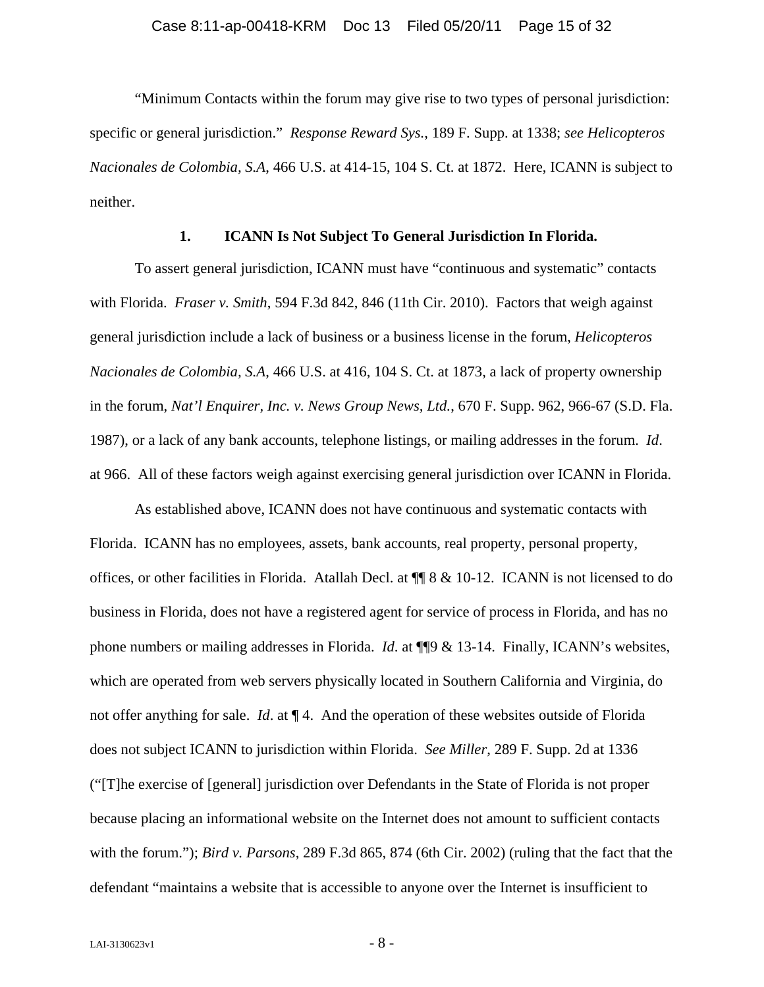<span id="page-14-0"></span>"Minimum Contacts within the forum may give rise to two types of personal jurisdiction: specific or general jurisdiction." *Response Reward Sys.*, 189 F. Supp. at 1338; *see Helicopteros Nacionales de Colombia, S.A*, 466 U.S. at 414-15, 104 S. Ct. at 1872. Here, ICANN is subject to neither.

### **1. ICANN Is Not Subject To General Jurisdiction In Florida.**

To assert general jurisdiction, ICANN must have "continuous and systematic" contacts with Florida. *Fraser v. Smith*, 594 F.3d 842, 846 (11th Cir. 2010). Factors that weigh against general jurisdiction include a lack of business or a business license in the forum, *Helicopteros Nacionales de Colombia, S.A*, 466 U.S. at 416, 104 S. Ct. at 1873, a lack of property ownership in the forum, *Nat'l Enquirer, Inc. v. News Group News, Ltd.*, 670 F. Supp. 962, 966-67 (S.D. Fla. 1987), or a lack of any bank accounts, telephone listings, or mailing addresses in the forum. *Id*. at 966. All of these factors weigh against exercising general jurisdiction over ICANN in Florida.

As established above, ICANN does not have continuous and systematic contacts with Florida. ICANN has no employees, assets, bank accounts, real property, personal property, offices, or other facilities in Florida. Atallah Decl. at ¶¶ 8 & 10-12. ICANN is not licensed to do business in Florida, does not have a registered agent for service of process in Florida, and has no phone numbers or mailing addresses in Florida. *Id*. at ¶¶9 & 13-14. Finally, ICANN's websites, which are operated from web servers physically located in Southern California and Virginia, do not offer anything for sale. *Id*. at ¶ 4. And the operation of these websites outside of Florida does not subject ICANN to jurisdiction within Florida. *See Miller*, 289 F. Supp. 2d at 1336 ("[T]he exercise of [general] jurisdiction over Defendants in the State of Florida is not proper because placing an informational website on the Internet does not amount to sufficient contacts with the forum."); *Bird v. Parsons*, 289 F.3d 865, 874 (6th Cir. 2002) (ruling that the fact that the defendant "maintains a website that is accessible to anyone over the Internet is insufficient to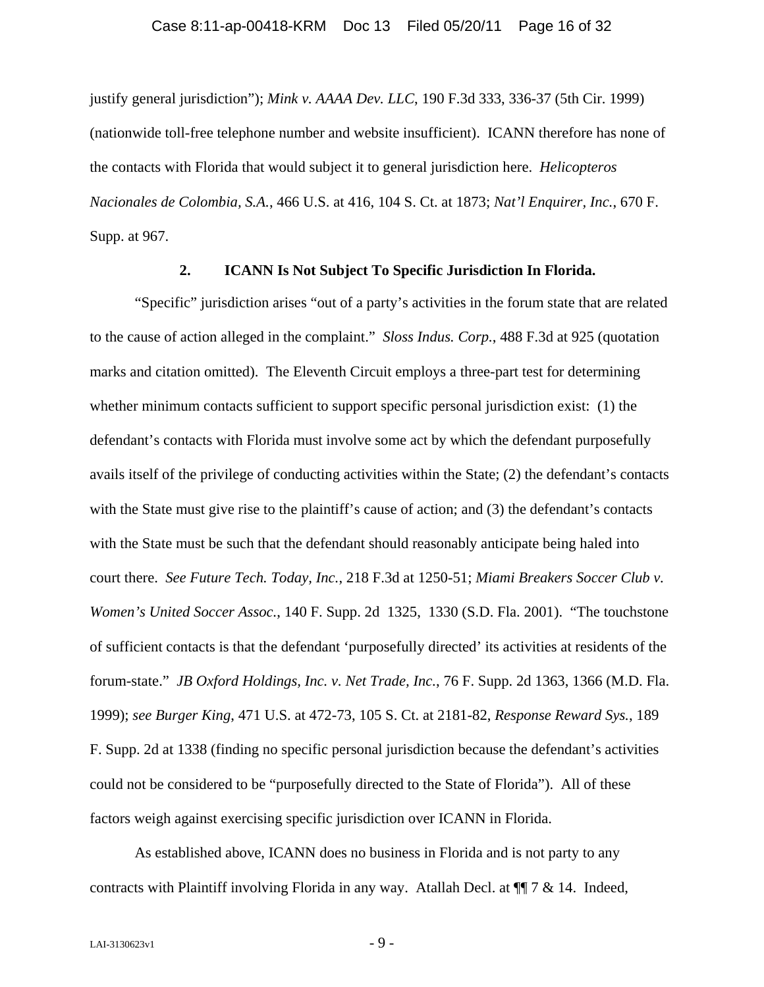<span id="page-15-0"></span>justify general jurisdiction"); *Mink v. AAAA Dev. LLC*, 190 F.3d 333, 336-37 (5th Cir. 1999) (nationwide toll-free telephone number and website insufficient). ICANN therefore has none of the contacts with Florida that would subject it to general jurisdiction here. *Helicopteros Nacionales de Colombia, S.A.*, 466 U.S. at 416, 104 S. Ct. at 1873; *Nat'l Enquirer, Inc.*, 670 F. Supp. at 967.

## **2. ICANN Is Not Subject To Specific Jurisdiction In Florida.**

"Specific" jurisdiction arises "out of a party's activities in the forum state that are related to the cause of action alleged in the complaint." *Sloss Indus. Corp.*, 488 F.3d at 925 (quotation marks and citation omitted). The Eleventh Circuit employs a three-part test for determining whether minimum contacts sufficient to support specific personal jurisdiction exist: (1) the defendant's contacts with Florida must involve some act by which the defendant purposefully avails itself of the privilege of conducting activities within the State; (2) the defendant's contacts with the State must give rise to the plaintiff's cause of action; and (3) the defendant's contacts with the State must be such that the defendant should reasonably anticipate being haled into court there. *See Future Tech. Today, Inc.*, 218 F.3d at 1250-51; *Miami Breakers Soccer Club v. Women's United Soccer Assoc.*, 140 F. Supp. 2d 1325, 1330 (S.D. Fla. 2001). "The touchstone of sufficient contacts is that the defendant 'purposefully directed' its activities at residents of the forum-state." *JB Oxford Holdings, Inc. v. Net Trade, Inc.*, 76 F. Supp. 2d 1363, 1366 (M.D. Fla. 1999); *see Burger King*, 471 U.S. at 472-73, 105 S. Ct. at 2181-82, *Response Reward Sys.*, 189 F. Supp. 2d at 1338 (finding no specific personal jurisdiction because the defendant's activities could not be considered to be "purposefully directed to the State of Florida"). All of these factors weigh against exercising specific jurisdiction over ICANN in Florida.

As established above, ICANN does no business in Florida and is not party to any contracts with Plaintiff involving Florida in any way. Atallah Decl. at ¶¶ 7 & 14. Indeed,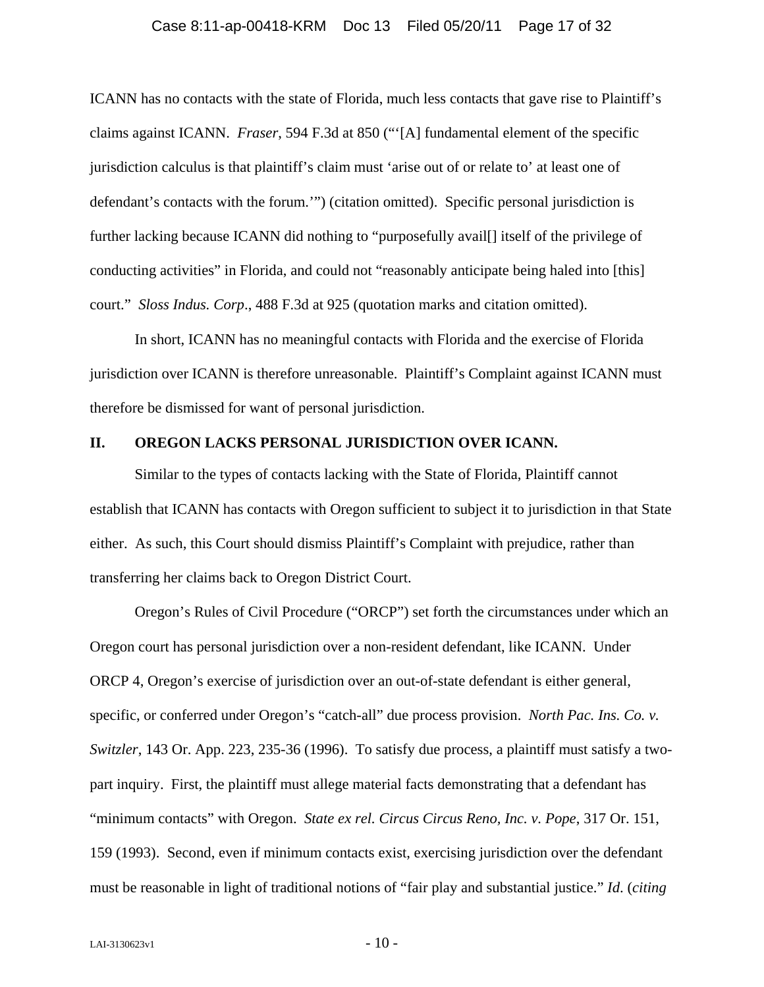#### Case 8:11-ap-00418-KRM Doc 13 Filed 05/20/11 Page 17 of 32

<span id="page-16-0"></span>ICANN has no contacts with the state of Florida, much less contacts that gave rise to Plaintiff's claims against ICANN. *Fraser*, 594 F.3d at 850 ("'[A] fundamental element of the specific jurisdiction calculus is that plaintiff's claim must 'arise out of or relate to' at least one of defendant's contacts with the forum.'") (citation omitted). Specific personal jurisdiction is further lacking because ICANN did nothing to "purposefully avail[] itself of the privilege of conducting activities" in Florida, and could not "reasonably anticipate being haled into [this] court." *Sloss Indus. Corp*., 488 F.3d at 925 (quotation marks and citation omitted).

In short, ICANN has no meaningful contacts with Florida and the exercise of Florida jurisdiction over ICANN is therefore unreasonable. Plaintiff's Complaint against ICANN must therefore be dismissed for want of personal jurisdiction.

#### **II. OREGON LACKS PERSONAL JURISDICTION OVER ICANN.**

Similar to the types of contacts lacking with the State of Florida, Plaintiff cannot establish that ICANN has contacts with Oregon sufficient to subject it to jurisdiction in that State either. As such, this Court should dismiss Plaintiff's Complaint with prejudice, rather than transferring her claims back to Oregon District Court.

Oregon's Rules of Civil Procedure ("ORCP") set forth the circumstances under which an Oregon court has personal jurisdiction over a non-resident defendant, like ICANN. Under ORCP 4, Oregon's exercise of jurisdiction over an out-of-state defendant is either general, specific, or conferred under Oregon's "catch-all" due process provision. *North Pac. Ins. Co. v. Switzler*, 143 Or. App. 223, 235-36 (1996). To satisfy due process, a plaintiff must satisfy a twopart inquiry. First, the plaintiff must allege material facts demonstrating that a defendant has "minimum contacts" with Oregon. *State ex rel. Circus Circus Reno, Inc. v. Pope*, 317 Or. 151, 159 (1993). Second, even if minimum contacts exist, exercising jurisdiction over the defendant must be reasonable in light of traditional notions of "fair play and substantial justice." *Id*. (*citing*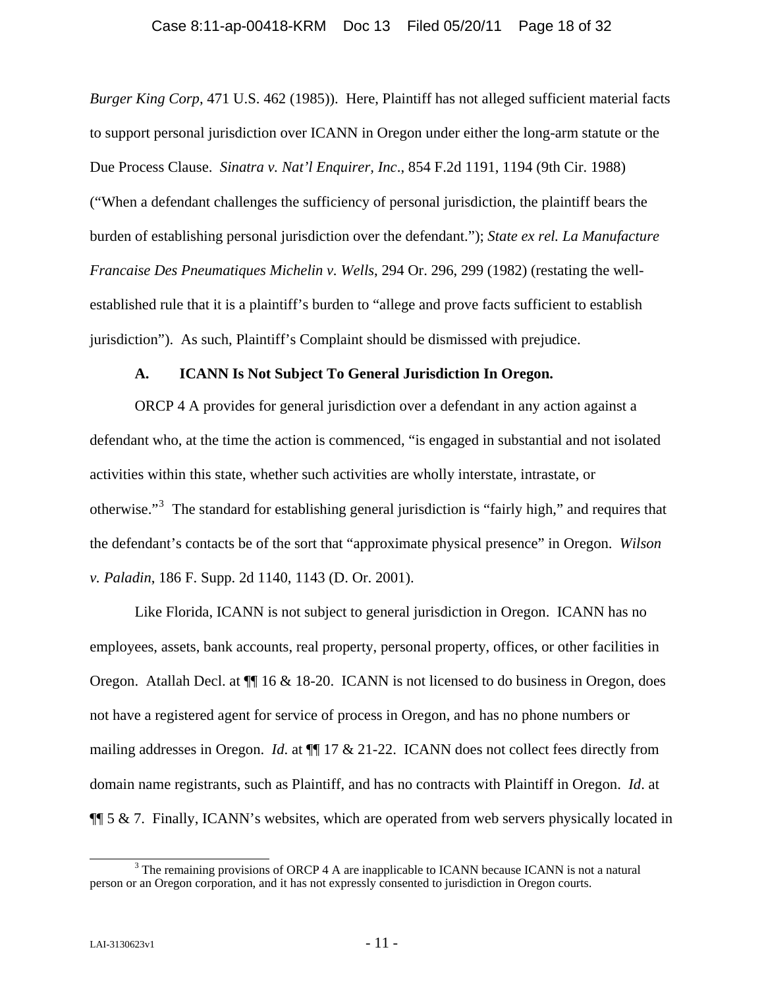<span id="page-17-0"></span>*Burger King Corp*, 471 U.S. 462 (1985)). Here, Plaintiff has not alleged sufficient material facts to support personal jurisdiction over ICANN in Oregon under either the long-arm statute or the Due Process Clause. *Sinatra v. Nat'l Enquirer, Inc*., 854 F.2d 1191, 1194 (9th Cir. 1988) ("When a defendant challenges the sufficiency of personal jurisdiction, the plaintiff bears the burden of establishing personal jurisdiction over the defendant."); *State ex rel. La Manufacture Francaise Des Pneumatiques Michelin v. Wells*, 294 Or. 296, 299 (1982) (restating the wellestablished rule that it is a plaintiff's burden to "allege and prove facts sufficient to establish jurisdiction"). As such, Plaintiff's Complaint should be dismissed with prejudice.

#### **A. ICANN Is Not Subject To General Jurisdiction In Oregon.**

ORCP 4 A provides for general jurisdiction over a defendant in any action against a defendant who, at the time the action is commenced, "is engaged in substantial and not isolated activities within this state, whether such activities are wholly interstate, intrastate, or otherwise."<sup>[3](#page-17-1)</sup> The standard for establishing general jurisdiction is "fairly high," and requires that the defendant's contacts be of the sort that "approximate physical presence" in Oregon. *Wilson v. Paladin*, 186 F. Supp. 2d 1140, 1143 (D. Or. 2001).

Like Florida, ICANN is not subject to general jurisdiction in Oregon. ICANN has no employees, assets, bank accounts, real property, personal property, offices, or other facilities in Oregon. Atallah Decl. at  $\P$  16 & 18-20. ICANN is not licensed to do business in Oregon, does not have a registered agent for service of process in Oregon, and has no phone numbers or mailing addresses in Oregon. *Id*. at ¶¶ 17 & 21-22. ICANN does not collect fees directly from domain name registrants, such as Plaintiff, and has no contracts with Plaintiff in Oregon. *Id*. at  $\P$ [ $\frac{1}{2}$  6  $\&$  7. Finally, ICANN's websites, which are operated from web servers physically located in

<span id="page-17-1"></span> <sup>3</sup>  $3$  The remaining provisions of ORCP 4 A are inapplicable to ICANN because ICANN is not a natural person or an Oregon corporation, and it has not expressly consented to jurisdiction in Oregon courts.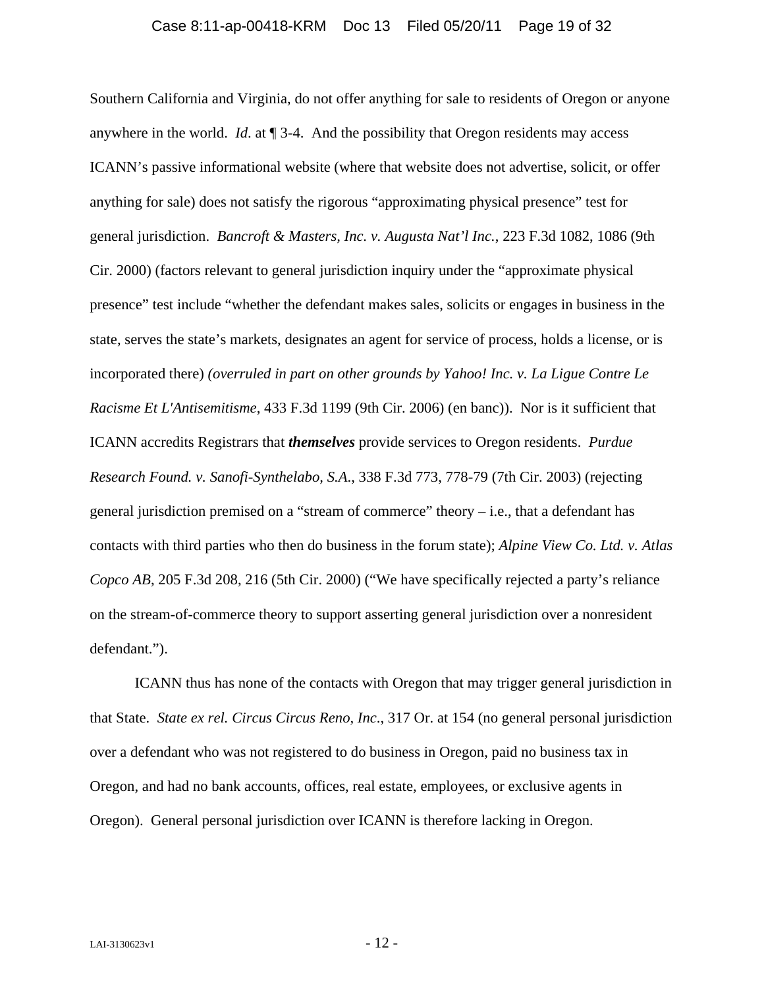<span id="page-18-0"></span>Southern California and Virginia, do not offer anything for sale to residents of Oregon or anyone anywhere in the world. *Id*. at ¶ 3-4. And the possibility that Oregon residents may access ICANN's passive informational website (where that website does not advertise, solicit, or offer anything for sale) does not satisfy the rigorous "approximating physical presence" test for general jurisdiction. *Bancroft & Masters, Inc. v. Augusta Nat'l Inc.*, 223 F.3d 1082, 1086 (9th Cir. 2000) (factors relevant to general jurisdiction inquiry under the "approximate physical presence" test include "whether the defendant makes sales, solicits or engages in business in the state, serves the state's markets, designates an agent for service of process, holds a license, or is incorporated there) *(overruled in part on other grounds by Yahoo! Inc. v. La Ligue Contre Le Racisme Et L'Antisemitisme*, 433 F.3d 1199 (9th Cir. 2006) (en banc)). Nor is it sufficient that ICANN accredits Registrars that *themselves* provide services to Oregon residents. *Purdue Research Found. v. Sanofi-Synthelabo, S.A*., 338 F.3d 773, 778-79 (7th Cir. 2003) (rejecting general jurisdiction premised on a "stream of commerce" theory  $-$  i.e., that a defendant has contacts with third parties who then do business in the forum state); *Alpine View Co. Ltd. v. Atlas Copco AB*, 205 F.3d 208, 216 (5th Cir. 2000) ("We have specifically rejected a party's reliance on the stream-of-commerce theory to support asserting general jurisdiction over a nonresident defendant.").

ICANN thus has none of the contacts with Oregon that may trigger general jurisdiction in that State. *State ex rel. Circus Circus Reno, Inc*., 317 Or. at 154 (no general personal jurisdiction over a defendant who was not registered to do business in Oregon, paid no business tax in Oregon, and had no bank accounts, offices, real estate, employees, or exclusive agents in Oregon). General personal jurisdiction over ICANN is therefore lacking in Oregon.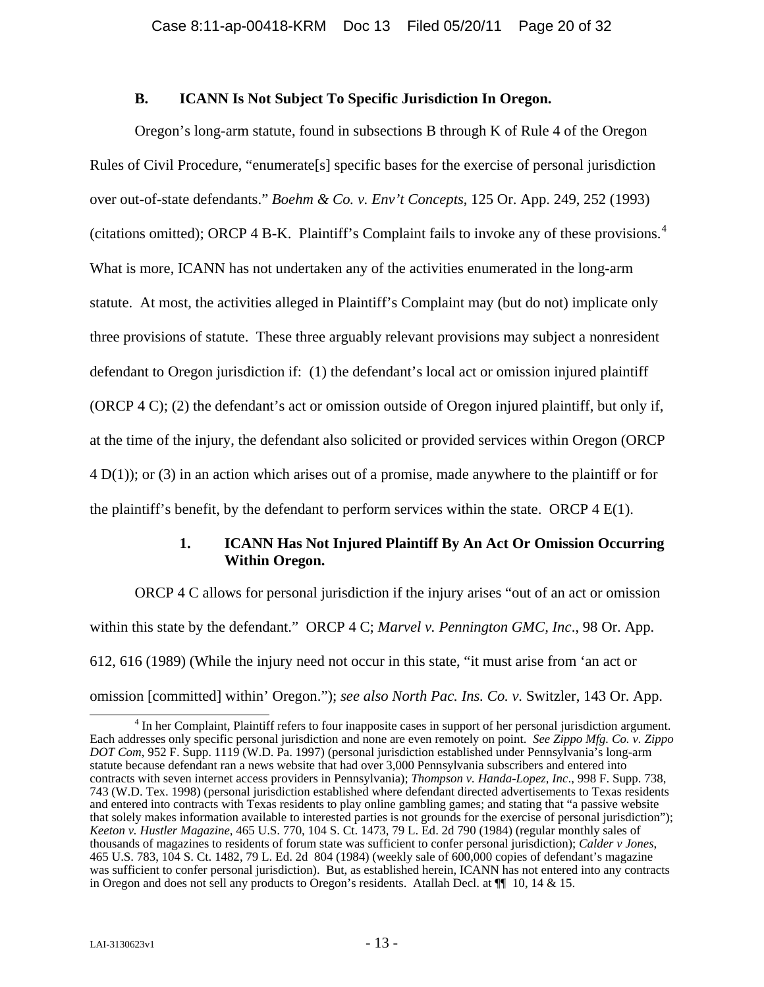#### **B. ICANN Is Not Subject To Specific Jurisdiction In Oregon.**

<span id="page-19-0"></span>Oregon's long-arm statute, found in subsections B through K of Rule 4 of the Oregon Rules of Civil Procedure, "enumerate[s] specific bases for the exercise of personal jurisdiction over out-of-state defendants." *Boehm & Co. v. Env't Concepts*, 125 Or. App. 249, 252 (1993) (citations omitted); ORCP [4](#page-19-1) B-K. Plaintiff's Complaint fails to invoke any of these provisions.<sup>4</sup> What is more, ICANN has not undertaken any of the activities enumerated in the long-arm statute. At most, the activities alleged in Plaintiff's Complaint may (but do not) implicate only three provisions of statute. These three arguably relevant provisions may subject a nonresident defendant to Oregon jurisdiction if: (1) the defendant's local act or omission injured plaintiff (ORCP 4 C); (2) the defendant's act or omission outside of Oregon injured plaintiff, but only if, at the time of the injury, the defendant also solicited or provided services within Oregon (ORCP 4 D(1)); or (3) in an action which arises out of a promise, made anywhere to the plaintiff or for the plaintiff's benefit, by the defendant to perform services within the state. ORCP  $4 \text{ E}(1)$ .

### **1. ICANN Has Not Injured Plaintiff By An Act Or Omission Occurring Within Oregon.**

ORCP 4 C allows for personal jurisdiction if the injury arises "out of an act or omission within this state by the defendant." ORCP 4 C; *Marvel v. Pennington GMC, Inc*., 98 Or. App. 612, 616 (1989) (While the injury need not occur in this state, "it must arise from 'an act or omission [committed] within' Oregon."); *see also North Pac. Ins. Co. v.* Switzler, 143 Or. App.

<span id="page-19-1"></span> <sup>4</sup> <sup>4</sup> In her Complaint, Plaintiff refers to four inapposite cases in support of her personal jurisdiction argument. Each addresses only specific personal jurisdiction and none are even remotely on point. *See Zippo Mfg. Co. v. Zippo DOT Com*, 952 F. Supp. 1119 (W.D. Pa. 1997) (personal jurisdiction established under Pennsylvania's long-arm statute because defendant ran a news website that had over 3,000 Pennsylvania subscribers and entered into contracts with seven internet access providers in Pennsylvania); *Thompson v. Handa-Lopez, Inc*., 998 F. Supp. 738, 743 (W.D. Tex. 1998) (personal jurisdiction established where defendant directed advertisements to Texas residents and entered into contracts with Texas residents to play online gambling games; and stating that "a passive website that solely makes information available to interested parties is not grounds for the exercise of personal jurisdiction"); *Keeton v. Hustler Magazine*, 465 U.S. 770, 104 S. Ct. 1473, 79 L. Ed. 2d 790 (1984) (regular monthly sales of thousands of magazines to residents of forum state was sufficient to confer personal jurisdiction); *Calder v Jones*, 465 U.S. 783, 104 S. Ct. 1482, 79 L. Ed. 2d 804 (1984) (weekly sale of 600,000 copies of defendant's magazine was sufficient to confer personal jurisdiction). But, as established herein, ICANN has not entered into any contracts in Oregon and does not sell any products to Oregon's residents. Atallah Decl. at ¶¶ 10, 14 & 15.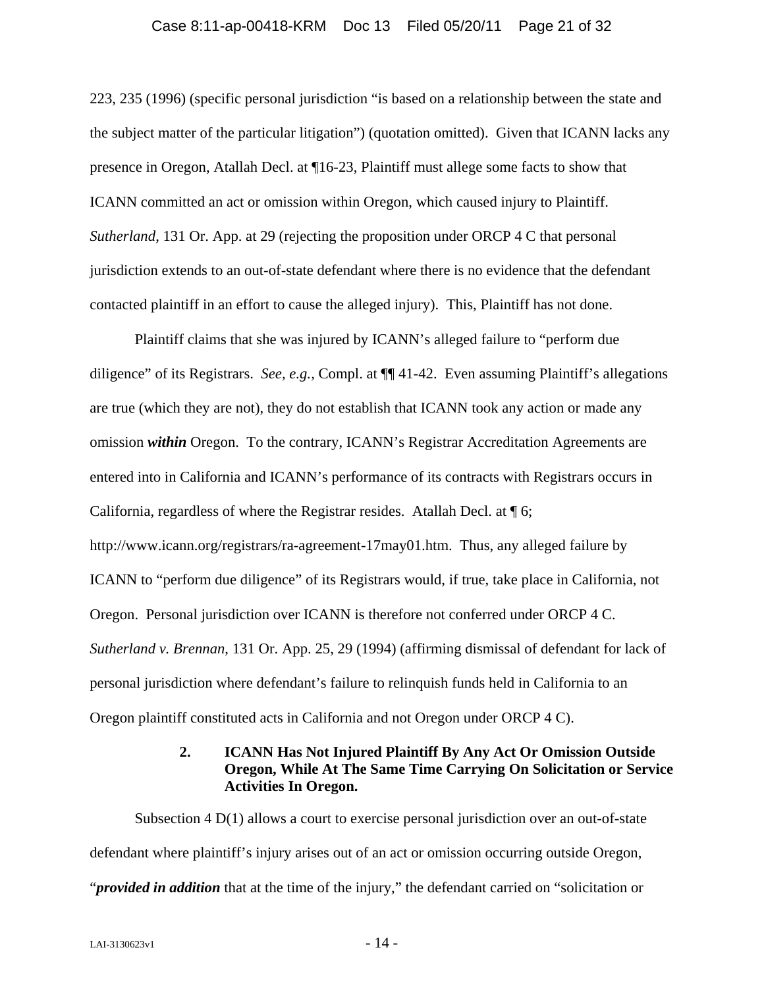#### Case 8:11-ap-00418-KRM Doc 13 Filed 05/20/11 Page 21 of 32

<span id="page-20-0"></span>223, 235 (1996) (specific personal jurisdiction "is based on a relationship between the state and the subject matter of the particular litigation") (quotation omitted). Given that ICANN lacks any presence in Oregon, Atallah Decl. at ¶16-23, Plaintiff must allege some facts to show that ICANN committed an act or omission within Oregon, which caused injury to Plaintiff. *Sutherland*, 131 Or. App. at 29 (rejecting the proposition under ORCP 4 C that personal jurisdiction extends to an out-of-state defendant where there is no evidence that the defendant contacted plaintiff in an effort to cause the alleged injury). This, Plaintiff has not done.

Plaintiff claims that she was injured by ICANN's alleged failure to "perform due diligence" of its Registrars. *See, e.g.,* Compl. at ¶¶ 41-42. Even assuming Plaintiff's allegations are true (which they are not), they do not establish that ICANN took any action or made any omission *within* Oregon. To the contrary, ICANN's Registrar Accreditation Agreements are entered into in California and ICANN's performance of its contracts with Registrars occurs in California, regardless of where the Registrar resides. Atallah Decl. at ¶ 6; http://www.icann.org/registrars/ra-agreement-17may01.htm. Thus, any alleged failure by ICANN to "perform due diligence" of its Registrars would, if true, take place in California, not Oregon. Personal jurisdiction over ICANN is therefore not conferred under ORCP 4 C. *Sutherland v. Brennan*, 131 Or. App. 25, 29 (1994) (affirming dismissal of defendant for lack of personal jurisdiction where defendant's failure to relinquish funds held in California to an Oregon plaintiff constituted acts in California and not Oregon under ORCP 4 C).

## **2. ICANN Has Not Injured Plaintiff By Any Act Or Omission Outside Oregon, While At The Same Time Carrying On Solicitation or Service Activities In Oregon.**

Subsection 4 D(1) allows a court to exercise personal jurisdiction over an out-of-state defendant where plaintiff's injury arises out of an act or omission occurring outside Oregon, "*provided in addition* that at the time of the injury," the defendant carried on "solicitation or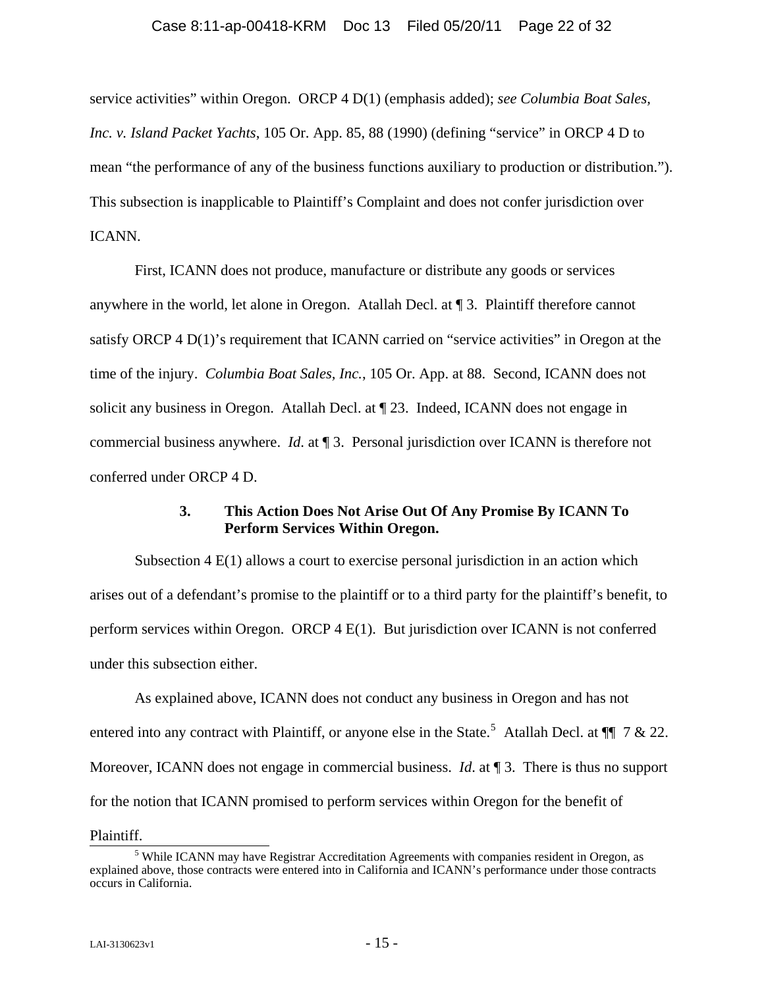<span id="page-21-0"></span>service activities" within Oregon. ORCP 4 D(1) (emphasis added); *see Columbia Boat Sales, Inc. v. Island Packet Yachts*, 105 Or. App. 85, 88 (1990) (defining "service" in ORCP 4 D to mean "the performance of any of the business functions auxiliary to production or distribution."). This subsection is inapplicable to Plaintiff's Complaint and does not confer jurisdiction over ICANN.

First, ICANN does not produce, manufacture or distribute any goods or services anywhere in the world, let alone in Oregon. Atallah Decl. at ¶ 3. Plaintiff therefore cannot satisfy ORCP 4 D(1)'s requirement that ICANN carried on "service activities" in Oregon at the time of the injury. *Columbia Boat Sales, Inc.*, 105 Or. App. at 88. Second, ICANN does not solicit any business in Oregon. Atallah Decl. at ¶ 23. Indeed, ICANN does not engage in commercial business anywhere. *Id*. at ¶ 3.Personal jurisdiction over ICANN is therefore not conferred under ORCP 4 D.

# **3. This Action Does Not Arise Out Of Any Promise By ICANN To Perform Services Within Oregon.**

Subsection 4 E(1) allows a court to exercise personal jurisdiction in an action which arises out of a defendant's promise to the plaintiff or to a third party for the plaintiff's benefit, to perform services within Oregon. ORCP 4 E(1). But jurisdiction over ICANN is not conferred under this subsection either.

As explained above, ICANN does not conduct any business in Oregon and has not entered into any contract with Plaintiff, or anyone else in the State.<sup>[5](#page-21-1)</sup> Atallah Decl. at  $\P$  7 & 22. Moreover, ICANN does not engage in commercial business. *Id.* at 13. There is thus no support for the notion that ICANN promised to perform services within Oregon for the benefit of

<span id="page-21-1"></span> $\frac{\text{Plaintiff.}}{5}$ <sup>5</sup> While ICANN may have Registrar Accreditation Agreements with companies resident in Oregon, as explained above, those contracts were entered into in California and ICANN's performance under those contracts occurs in California.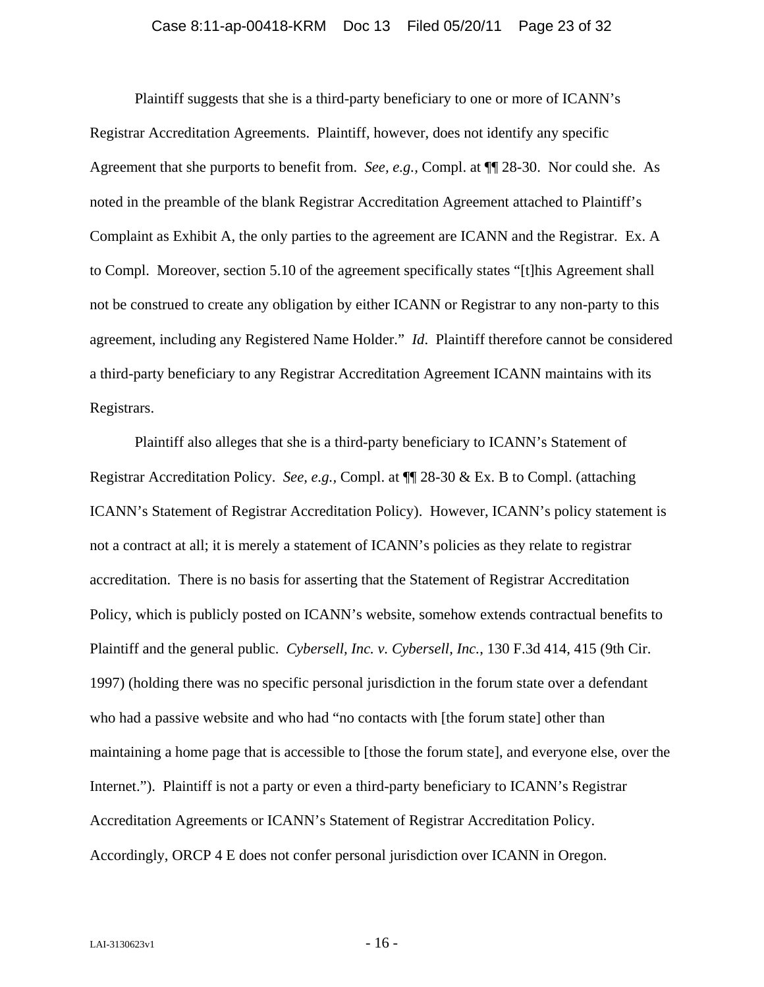#### Case 8:11-ap-00418-KRM Doc 13 Filed 05/20/11 Page 23 of 32

<span id="page-22-0"></span>Plaintiff suggests that she is a third-party beneficiary to one or more of ICANN's Registrar Accreditation Agreements. Plaintiff, however, does not identify any specific Agreement that she purports to benefit from. *See, e.g.,* Compl. at ¶¶ 28-30. Nor could she. As noted in the preamble of the blank Registrar Accreditation Agreement attached to Plaintiff's Complaint as Exhibit A, the only parties to the agreement are ICANN and the Registrar. Ex. A to Compl. Moreover, section 5.10 of the agreement specifically states "[t]his Agreement shall not be construed to create any obligation by either ICANN or Registrar to any non-party to this agreement, including any Registered Name Holder." *Id*. Plaintiff therefore cannot be considered a third-party beneficiary to any Registrar Accreditation Agreement ICANN maintains with its Registrars.

Plaintiff also alleges that she is a third-party beneficiary to ICANN's Statement of Registrar Accreditation Policy. *See, e.g.,* Compl. at ¶¶ 28-30 & Ex. B to Compl. (attaching ICANN's Statement of Registrar Accreditation Policy). However, ICANN's policy statement is not a contract at all; it is merely a statement of ICANN's policies as they relate to registrar accreditation. There is no basis for asserting that the Statement of Registrar Accreditation Policy, which is publicly posted on ICANN's website, somehow extends contractual benefits to Plaintiff and the general public. *Cybersell, Inc. v. Cybersell, Inc.*, 130 F.3d 414, 415 (9th Cir. 1997) (holding there was no specific personal jurisdiction in the forum state over a defendant who had a passive website and who had "no contacts with [the forum state] other than maintaining a home page that is accessible to [those the forum state], and everyone else, over the Internet."). Plaintiff is not a party or even a third-party beneficiary to ICANN's Registrar Accreditation Agreements or ICANN's Statement of Registrar Accreditation Policy. Accordingly, ORCP 4 E does not confer personal jurisdiction over ICANN in Oregon.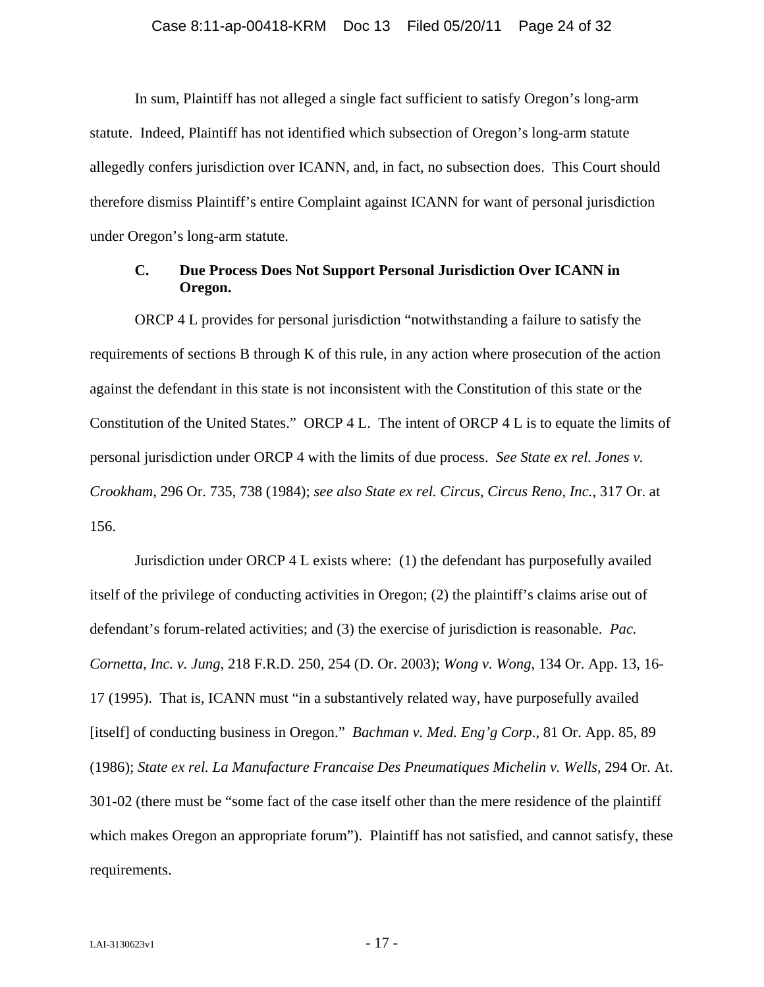<span id="page-23-0"></span>In sum, Plaintiff has not alleged a single fact sufficient to satisfy Oregon's long-arm statute. Indeed, Plaintiff has not identified which subsection of Oregon's long-arm statute allegedly confers jurisdiction over ICANN, and, in fact, no subsection does. This Court should therefore dismiss Plaintiff's entire Complaint against ICANN for want of personal jurisdiction under Oregon's long-arm statute.

### **C. Due Process Does Not Support Personal Jurisdiction Over ICANN in Oregon.**

ORCP 4 L provides for personal jurisdiction "notwithstanding a failure to satisfy the requirements of sections B through K of this rule, in any action where prosecution of the action against the defendant in this state is not inconsistent with the Constitution of this state or the Constitution of the United States." ORCP 4 L. The intent of ORCP 4 L is to equate the limits of personal jurisdiction under ORCP 4 with the limits of due process. *See State ex rel. Jones v. Crookham*, 296 Or. 735, 738 (1984); *see also State ex rel. Circus, Circus Reno, Inc.*, 317 Or. at 156.

Jurisdiction under ORCP 4 L exists where: (1) the defendant has purposefully availed itself of the privilege of conducting activities in Oregon; (2) the plaintiff's claims arise out of defendant's forum-related activities; and (3) the exercise of jurisdiction is reasonable. *Pac. Cornetta, Inc. v. Jung*, 218 F.R.D. 250, 254 (D. Or. 2003); *Wong v. Wong*, 134 Or. App. 13, 16- 17 (1995). That is, ICANN must "in a substantively related way, have purposefully availed [itself] of conducting business in Oregon." *Bachman v. Med. Eng'g Corp*., 81 Or. App. 85, 89 (1986); *State ex rel. La Manufacture Francaise Des Pneumatiques Michelin v. Wells*, 294 Or. At. 301-02 (there must be "some fact of the case itself other than the mere residence of the plaintiff which makes Oregon an appropriate forum"). Plaintiff has not satisfied, and cannot satisfy, these requirements.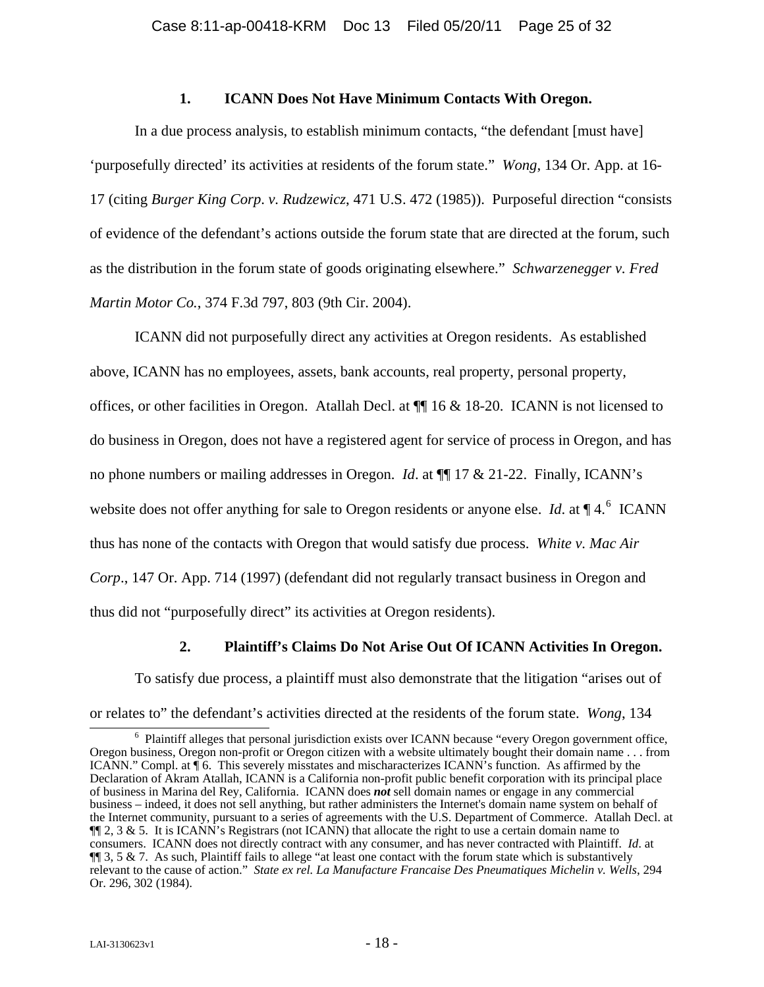#### **1. ICANN Does Not Have Minimum Contacts With Oregon.**

<span id="page-24-0"></span>In a due process analysis, to establish minimum contacts, "the defendant [must have] 'purposefully directed' its activities at residents of the forum state." *Wong*, 134 Or. App. at 16- 17 (citing *Burger King Corp*. *v. Rudzewicz*, 471 U.S. 472 (1985)). Purposeful direction "consists of evidence of the defendant's actions outside the forum state that are directed at the forum, such as the distribution in the forum state of goods originating elsewhere." *Schwarzenegger v. Fred Martin Motor Co.*, 374 F.3d 797, 803 (9th Cir. 2004).

ICANN did not purposefully direct any activities at Oregon residents. As established above, ICANN has no employees, assets, bank accounts, real property, personal property, offices, or other facilities in Oregon. Atallah Decl. at ¶¶ 16 & 18-20. ICANN is not licensed to do business in Oregon, does not have a registered agent for service of process in Oregon, and has no phone numbers or mailing addresses in Oregon. *Id*. at ¶¶ 17 & 21-22. Finally, ICANN's website does not offer anything for sale to Oregon residents or anyone else. *Id.* at  $\P$  4.<sup>[6](#page-24-1)</sup> ICANN thus has none of the contacts with Oregon that would satisfy due process. *White v. Mac Air Corp*., 147 Or. App. 714 (1997) (defendant did not regularly transact business in Oregon and thus did not "purposefully direct" its activities at Oregon residents).

### **2. Plaintiff's Claims Do Not Arise Out Of ICANN Activities In Oregon.**

To satisfy due process, a plaintiff must also demonstrate that the litigation "arises out of or relates to" the defendant's activities directed at the residents of the forum state. *Wong*, 134 6

<span id="page-24-1"></span><sup>&</sup>lt;sup>6</sup> Plaintiff alleges that personal jurisdiction exists over ICANN because "every Oregon government office, Oregon business, Oregon non-profit or Oregon citizen with a website ultimately bought their domain name . . . from ICANN." Compl. at ¶ 6. This severely misstates and mischaracterizes ICANN's function. As affirmed by the Declaration of Akram Atallah, ICANN is a California non-profit public benefit corporation with its principal place of business in Marina del Rey, California. ICANN does *not* sell domain names or engage in any commercial business – indeed, it does not sell anything, but rather administers the Internet's domain name system on behalf of the Internet community, pursuant to a series of agreements with the U.S. Department of Commerce. Atallah Decl. at  $\P$  2, 3 & 5. It is ICANN's Registrars (not ICANN) that allocate the right to use a certain domain name to consumers. ICANN does not directly contract with any consumer, and has never contracted with Plaintiff. *Id*. at  $\P$  3, 5 & 7. As such, Plaintiff fails to allege "at least one contact with the forum state which is substantively relevant to the cause of action." *State ex rel. La Manufacture Francaise Des Pneumatiques Michelin v. Wells*, 294 Or. 296, 302 (1984).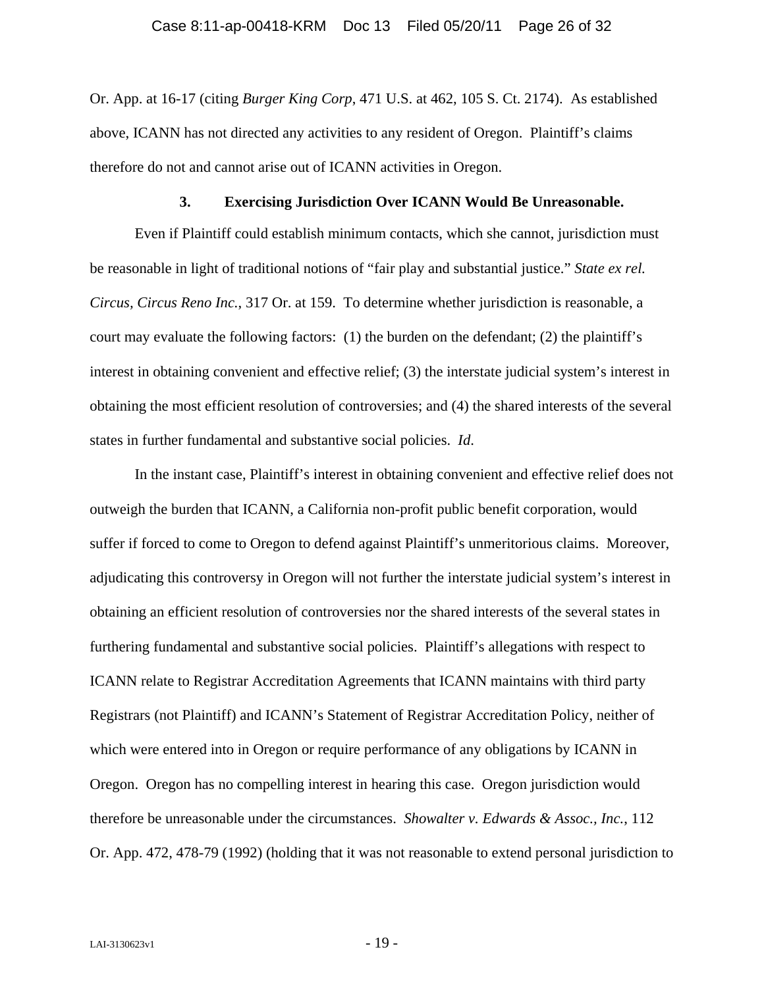<span id="page-25-0"></span>Or. App. at 16-17 (citing *Burger King Corp*, 471 U.S. at 462, 105 S. Ct. 2174). As established above, ICANN has not directed any activities to any resident of Oregon. Plaintiff's claims therefore do not and cannot arise out of ICANN activities in Oregon.

# **3. Exercising Jurisdiction Over ICANN Would Be Unreasonable.**

Even if Plaintiff could establish minimum contacts, which she cannot, jurisdiction must be reasonable in light of traditional notions of "fair play and substantial justice." *State ex rel. Circus, Circus Reno Inc.*, 317 Or. at 159. To determine whether jurisdiction is reasonable, a court may evaluate the following factors: (1) the burden on the defendant; (2) the plaintiff's interest in obtaining convenient and effective relief; (3) the interstate judicial system's interest in obtaining the most efficient resolution of controversies; and (4) the shared interests of the several states in further fundamental and substantive social policies. *Id*.

In the instant case, Plaintiff's interest in obtaining convenient and effective relief does not outweigh the burden that ICANN, a California non-profit public benefit corporation, would suffer if forced to come to Oregon to defend against Plaintiff's unmeritorious claims. Moreover, adjudicating this controversy in Oregon will not further the interstate judicial system's interest in obtaining an efficient resolution of controversies nor the shared interests of the several states in furthering fundamental and substantive social policies. Plaintiff's allegations with respect to ICANN relate to Registrar Accreditation Agreements that ICANN maintains with third party Registrars (not Plaintiff) and ICANN's Statement of Registrar Accreditation Policy, neither of which were entered into in Oregon or require performance of any obligations by ICANN in Oregon. Oregon has no compelling interest in hearing this case. Oregon jurisdiction would therefore be unreasonable under the circumstances. *Showalter v. Edwards & Assoc., Inc.*, 112 Or. App. 472, 478-79 (1992) (holding that it was not reasonable to extend personal jurisdiction to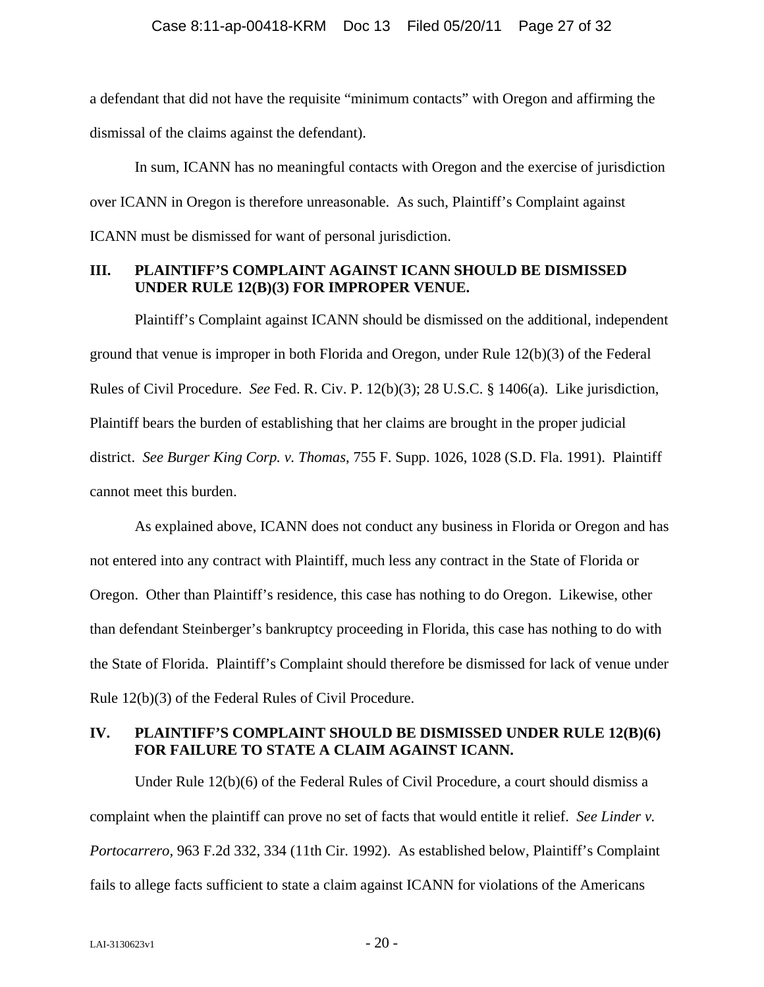<span id="page-26-0"></span>a defendant that did not have the requisite "minimum contacts" with Oregon and affirming the dismissal of the claims against the defendant).

In sum, ICANN has no meaningful contacts with Oregon and the exercise of jurisdiction over ICANN in Oregon is therefore unreasonable. As such, Plaintiff's Complaint against ICANN must be dismissed for want of personal jurisdiction.

# **III. PLAINTIFF'S COMPLAINT AGAINST ICANN SHOULD BE DISMISSED UNDER RULE 12(B)(3) FOR IMPROPER VENUE.**

Plaintiff's Complaint against ICANN should be dismissed on the additional, independent ground that venue is improper in both Florida and Oregon, under Rule 12(b)(3) of the Federal Rules of Civil Procedure. *See* Fed. R. Civ. P. 12(b)(3); 28 U.S.C. § 1406(a). Like jurisdiction, Plaintiff bears the burden of establishing that her claims are brought in the proper judicial district. *See Burger King Corp. v. Thomas*, 755 F. Supp. 1026, 1028 (S.D. Fla. 1991). Plaintiff cannot meet this burden.

As explained above, ICANN does not conduct any business in Florida or Oregon and has not entered into any contract with Plaintiff, much less any contract in the State of Florida or Oregon. Other than Plaintiff's residence, this case has nothing to do Oregon. Likewise, other than defendant Steinberger's bankruptcy proceeding in Florida, this case has nothing to do with the State of Florida. Plaintiff's Complaint should therefore be dismissed for lack of venue under Rule 12(b)(3) of the Federal Rules of Civil Procedure.

# **IV. PLAINTIFF'S COMPLAINT SHOULD BE DISMISSED UNDER RULE 12(B)(6) FOR FAILURE TO STATE A CLAIM AGAINST ICANN.**

Under Rule 12(b)(6) of the Federal Rules of Civil Procedure, a court should dismiss a complaint when the plaintiff can prove no set of facts that would entitle it relief. *See Linder v. Portocarrero,* 963 F.2d 332, 334 (11th Cir. 1992). As established below, Plaintiff's Complaint fails to allege facts sufficient to state a claim against ICANN for violations of the Americans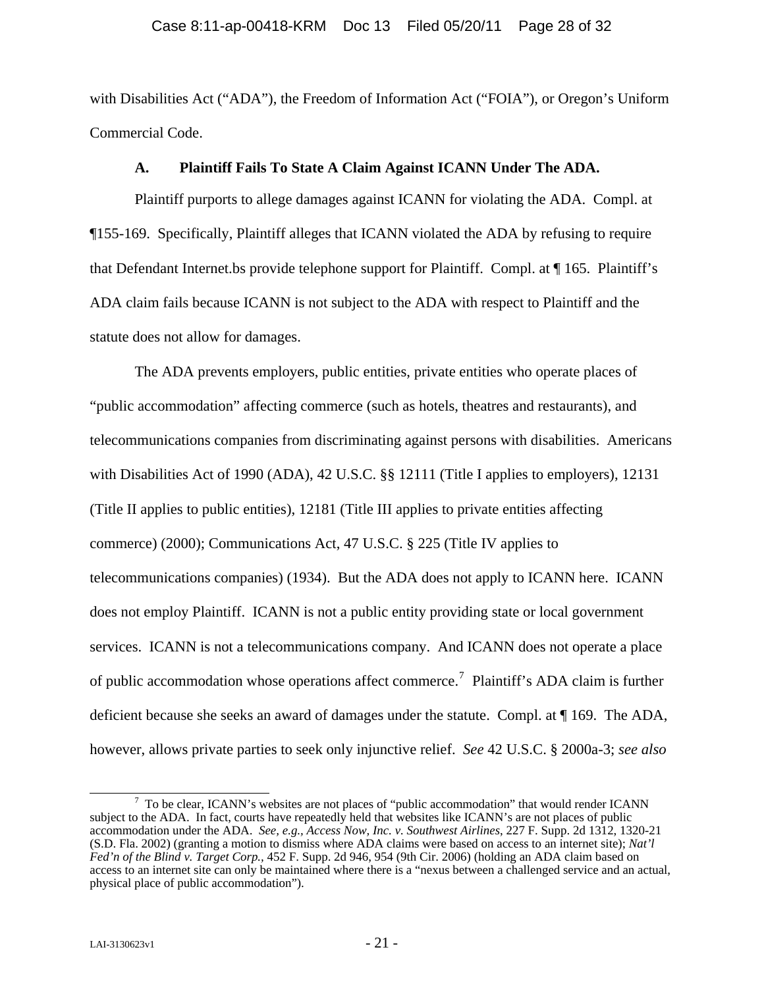<span id="page-27-0"></span>with Disabilities Act ("ADA"), the Freedom of Information Act ("FOIA"), or Oregon's Uniform Commercial Code.

#### **A. Plaintiff Fails To State A Claim Against ICANN Under The ADA.**

Plaintiff purports to allege damages against ICANN for violating the ADA. Compl. at ¶155-169. Specifically, Plaintiff alleges that ICANN violated the ADA by refusing to require that Defendant Internet.bs provide telephone support for Plaintiff. Compl. at ¶ 165. Plaintiff's ADA claim fails because ICANN is not subject to the ADA with respect to Plaintiff and the statute does not allow for damages.

The ADA prevents employers, public entities, private entities who operate places of "public accommodation" affecting commerce (such as hotels, theatres and restaurants), and telecommunications companies from discriminating against persons with disabilities. Americans with Disabilities Act of 1990 (ADA), 42 U.S.C. §§ 12111 (Title I applies to employers), 12131 (Title II applies to public entities), 12181 (Title III applies to private entities affecting commerce) (2000); Communications Act, 47 U.S.C. § 225 (Title IV applies to telecommunications companies) (1934). But the ADA does not apply to ICANN here. ICANN does not employ Plaintiff. ICANN is not a public entity providing state or local government services. ICANN is not a telecommunications company. And ICANN does not operate a place of public accommodation whose operations affect commerce.<sup>[7](#page-27-1)</sup> Plaintiff's ADA claim is further deficient because she seeks an award of damages under the statute. Compl. at ¶ 169. The ADA, however, allows private parties to seek only injunctive relief. *See* 42 U.S.C. § 2000a-3; *see also* 

<span id="page-27-1"></span> $\overline{7}$  $\frac{7}{1}$  To be clear, ICANN's websites are not places of "public accommodation" that would render ICANN subject to the ADA. In fact, courts have repeatedly held that websites like ICANN's are not places of public accommodation under the ADA. *See, e.g., Access Now, Inc. v. Southwest Airlines*, 227 F. Supp. 2d 1312, 1320-21 (S.D. Fla. 2002) (granting a motion to dismiss where ADA claims were based on access to an internet site); *Nat'l Fed'n of the Blind v. Target Corp.,* 452 F. Supp. 2d 946, 954 (9th Cir. 2006) (holding an ADA claim based on access to an internet site can only be maintained where there is a "nexus between a challenged service and an actual, physical place of public accommodation").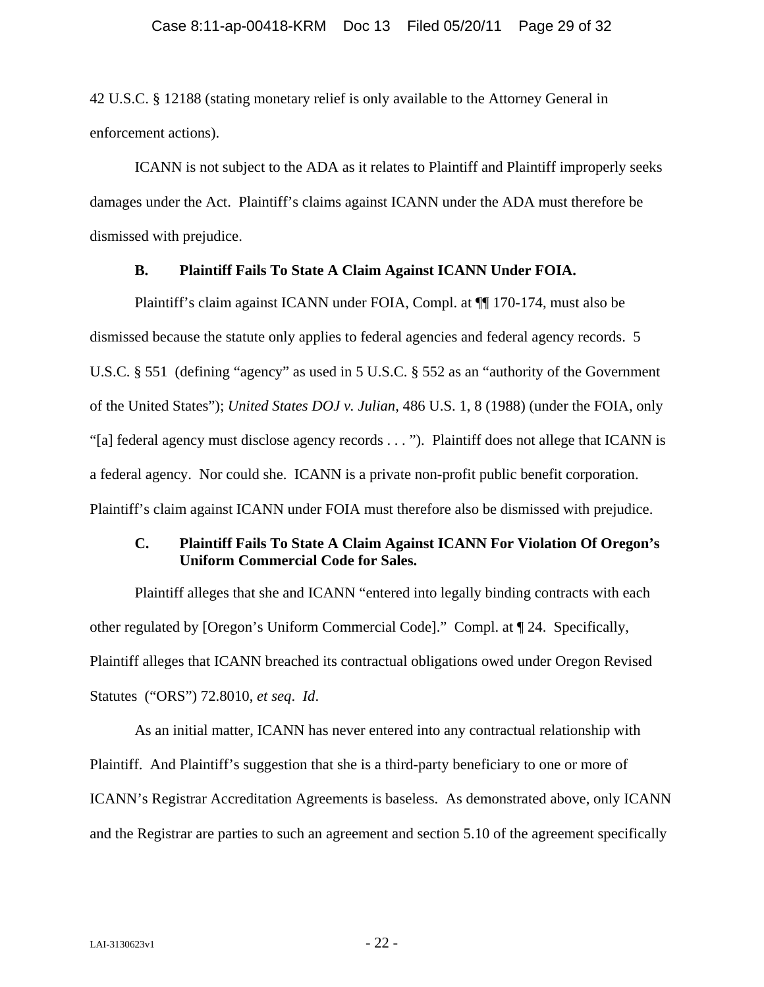<span id="page-28-0"></span>42 U.S.C. § 12188 (stating monetary relief is only available to the Attorney General in enforcement actions).

ICANN is not subject to the ADA as it relates to Plaintiff and Plaintiff improperly seeks damages under the Act. Plaintiff's claims against ICANN under the ADA must therefore be dismissed with prejudice.

#### **B. Plaintiff Fails To State A Claim Against ICANN Under FOIA.**

Plaintiff's claim against ICANN under FOIA, Compl. at  $\P$ [170-174, must also be dismissed because the statute only applies to federal agencies and federal agency records. 5 U.S.C. § 551 (defining "agency" as used in 5 U.S.C. § 552 as an "authority of the Government of the United States"); *United States DOJ v. Julian*, 486 U.S. 1, 8 (1988) (under the FOIA, only "[a] federal agency must disclose agency records . . . "). Plaintiff does not allege that ICANN is a federal agency. Nor could she. ICANN is a private non-profit public benefit corporation. Plaintiff's claim against ICANN under FOIA must therefore also be dismissed with prejudice.

## **C. Plaintiff Fails To State A Claim Against ICANN For Violation Of Oregon's Uniform Commercial Code for Sales.**

Plaintiff alleges that she and ICANN "entered into legally binding contracts with each other regulated by [Oregon's Uniform Commercial Code]." Compl. at ¶ 24. Specifically, Plaintiff alleges that ICANN breached its contractual obligations owed under Oregon Revised Statutes ("ORS") 72.8010, *et seq*. *Id*.

As an initial matter, ICANN has never entered into any contractual relationship with Plaintiff. And Plaintiff's suggestion that she is a third-party beneficiary to one or more of ICANN's Registrar Accreditation Agreements is baseless. As demonstrated above, only ICANN and the Registrar are parties to such an agreement and section 5.10 of the agreement specifically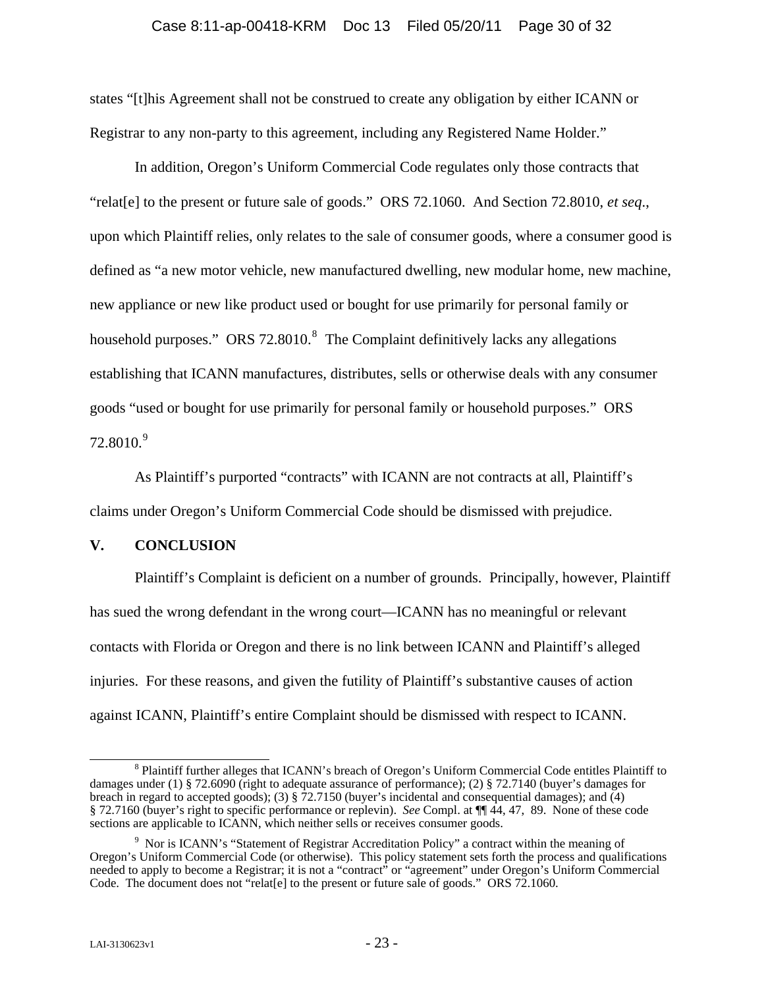<span id="page-29-0"></span>states "[t]his Agreement shall not be construed to create any obligation by either ICANN or Registrar to any non-party to this agreement, including any Registered Name Holder."

In addition, Oregon's Uniform Commercial Code regulates only those contracts that "relat[e] to the present or future sale of goods." ORS 72.1060. And Section 72.8010, *et seq*., upon which Plaintiff relies, only relates to the sale of consumer goods, where a consumer good is defined as "a new motor vehicle, new manufactured dwelling, new modular home, new machine, new appliance or new like product used or bought for use primarily for personal family or household purposes." ORS 72.[8](#page-29-1)010. $^8$  The Complaint definitively lacks any allegations establishing that ICANN manufactures, distributes, sells or otherwise deals with any consumer goods "used or bought for use primarily for personal family or household purposes." ORS 72.8010.<sup>[9](#page-29-2)</sup>

As Plaintiff's purported "contracts" with ICANN are not contracts at all, Plaintiff's claims under Oregon's Uniform Commercial Code should be dismissed with prejudice.

#### **V. CONCLUSION**

Plaintiff's Complaint is deficient on a number of grounds. Principally, however, Plaintiff has sued the wrong defendant in the wrong court—ICANN has no meaningful or relevant contacts with Florida or Oregon and there is no link between ICANN and Plaintiff's alleged injuries. For these reasons, and given the futility of Plaintiff's substantive causes of action against ICANN, Plaintiff's entire Complaint should be dismissed with respect to ICANN.

<span id="page-29-1"></span> <sup>8</sup> <sup>8</sup> Plaintiff further alleges that ICANN's breach of Oregon's Uniform Commercial Code entitles Plaintiff to damages under (1) § 72.6090 (right to adequate assurance of performance); (2) § 72.7140 (buyer's damages for breach in regard to accepted goods); (3) § 72.7150 (buyer's incidental and consequential damages); and (4) § 72.7160 (buyer's right to specific performance or replevin). *See* Compl. at ¶¶ 44, 47, 89. None of these code sections are applicable to ICANN, which neither sells or receives consumer goods.

<span id="page-29-2"></span><sup>&</sup>lt;sup>9</sup> Nor is ICANN's "Statement of Registrar Accreditation Policy" a contract within the meaning of Oregon's Uniform Commercial Code (or otherwise). This policy statement sets forth the process and qualifications needed to apply to become a Registrar; it is not a "contract" or "agreement" under Oregon's Uniform Commercial Code. The document does not "relat[e] to the present or future sale of goods." ORS 72.1060.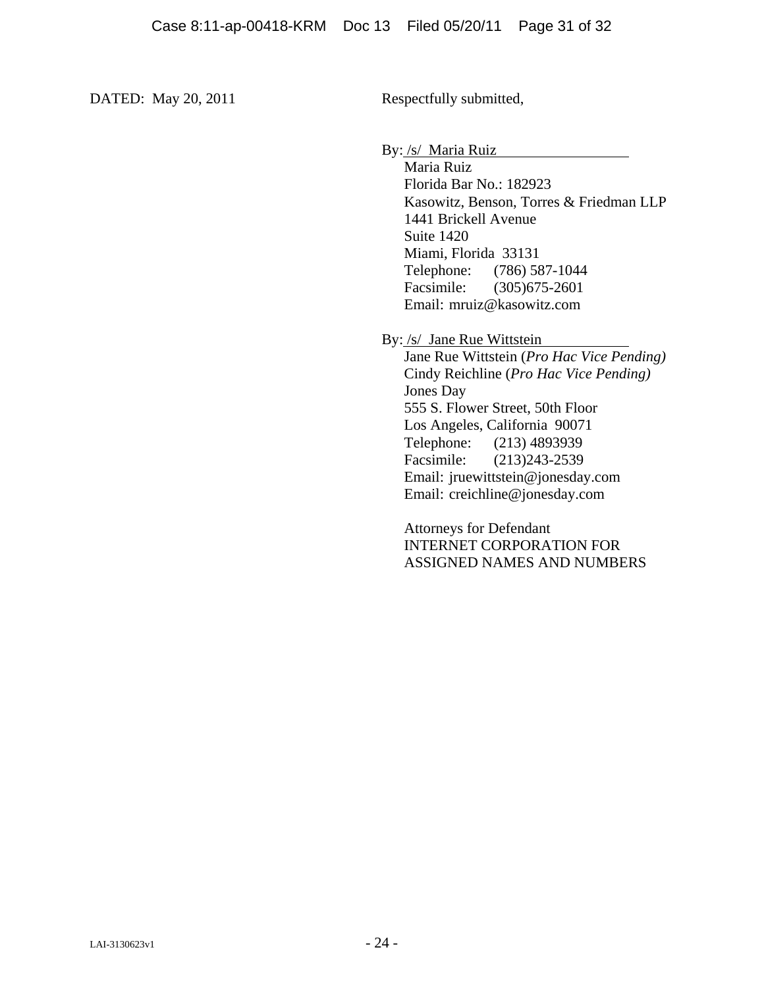DATED: May 20, 2011 Respectfully submitted,

By: /s/ Maria Ruiz

Maria Ruiz Florida Bar No.: 182923 Kasowitz, Benson, Torres & Friedman LLP 1441 Brickell Avenue Suite 1420 Miami, Florida 33131 Telephone: (786) 587-1044 Facsimile: (305)675-2601 Email: mruiz@kasowitz.com

By: /s/ Jane Rue Wittstein

Jane Rue Wittstein (*Pro Hac Vice Pending)* Cindy Reichline (*Pro Hac Vice Pending)* Jones Day 555 S. Flower Street, 50th Floor Los Angeles, California 90071 Telephone: (213) 4893939 Facsimile: (213)243-2539 Email: jruewittstein@jonesday.com Email: creichline@jonesday.com

Attorneys for Defendant INTERNET CORPORATION FOR ASSIGNED NAMES AND NUMBERS